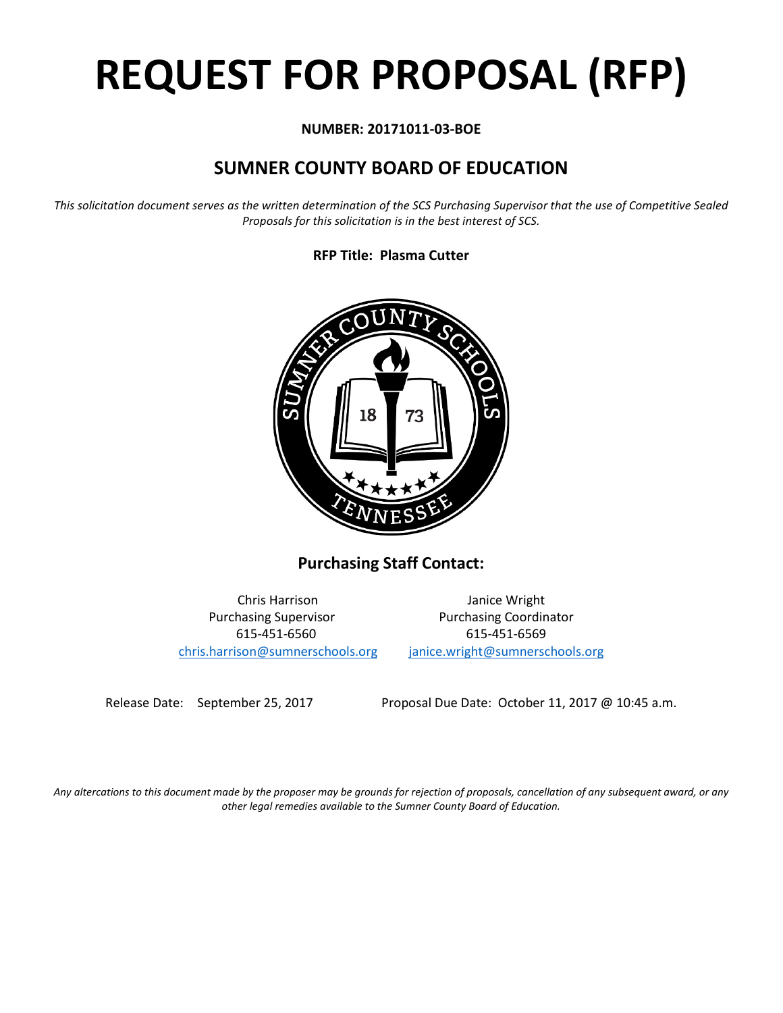# **REQUEST FOR PROPOSAL (RFP)**

# **NUMBER: 20171011-03-BOE**

# **SUMNER COUNTY BOARD OF EDUCATION**

*This solicitation document serves as the written determination of the SCS Purchasing Supervisor that the use of Competitive Sealed Proposals for this solicitation is in the best interest of SCS.*

# **RFP Title: Plasma Cutter**



**Purchasing Staff Contact:**

[chris.harrison@sumnerschools.org](mailto:chris.harrison@sumnerschools.org) [janice.wright@sumnerschools.org](mailto:janice.wright@sumnerschools.org)

Chris Harrison Janice Wright Purchasing Supervisor **Purchasing Coordinator** 615-451-6560 615-451-6569

Release Date: September 25, 2017 Proposal Due Date: October 11, 2017 @ 10:45 a.m.

*Any altercations to this document made by the proposer may be grounds for rejection of proposals, cancellation of any subsequent award, or any other legal remedies available to the Sumner County Board of Education.*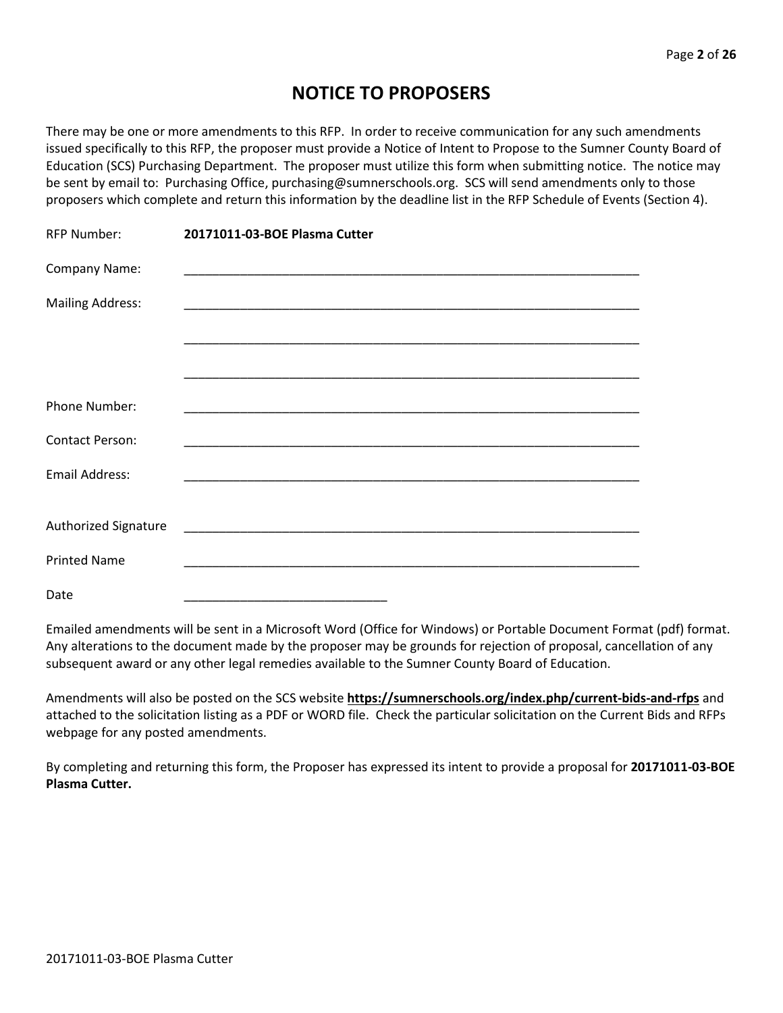# **NOTICE TO PROPOSERS**

There may be one or more amendments to this RFP. In order to receive communication for any such amendments issued specifically to this RFP, the proposer must provide a Notice of Intent to Propose to the Sumner County Board of Education (SCS) Purchasing Department. The proposer must utilize this form when submitting notice. The notice may be sent by email to: Purchasing Office, purchasing@sumnerschools.org. SCS will send amendments only to those proposers which complete and return this information by the deadline list in the RFP Schedule of Events (Section 4).

| <b>RFP Number:</b>          | 20171011-03-BOE Plasma Cutter |
|-----------------------------|-------------------------------|
| Company Name:               |                               |
| <b>Mailing Address:</b>     |                               |
|                             |                               |
|                             |                               |
| <b>Phone Number:</b>        |                               |
| <b>Contact Person:</b>      |                               |
| Email Address:              |                               |
| <b>Authorized Signature</b> |                               |
|                             |                               |
| <b>Printed Name</b>         |                               |
| Date                        |                               |

Emailed amendments will be sent in a Microsoft Word (Office for Windows) or Portable Document Format (pdf) format. Any alterations to the document made by the proposer may be grounds for rejection of proposal, cancellation of any subsequent award or any other legal remedies available to the Sumner County Board of Education.

Amendments will also be posted on the SCS website **https://sumnerschools.org/index.php/current-bids-and-rfps** and attached to the solicitation listing as a PDF or WORD file. Check the particular solicitation on the Current Bids and RFPs webpage for any posted amendments.

By completing and returning this form, the Proposer has expressed its intent to provide a proposal for **20171011-03-BOE Plasma Cutter.**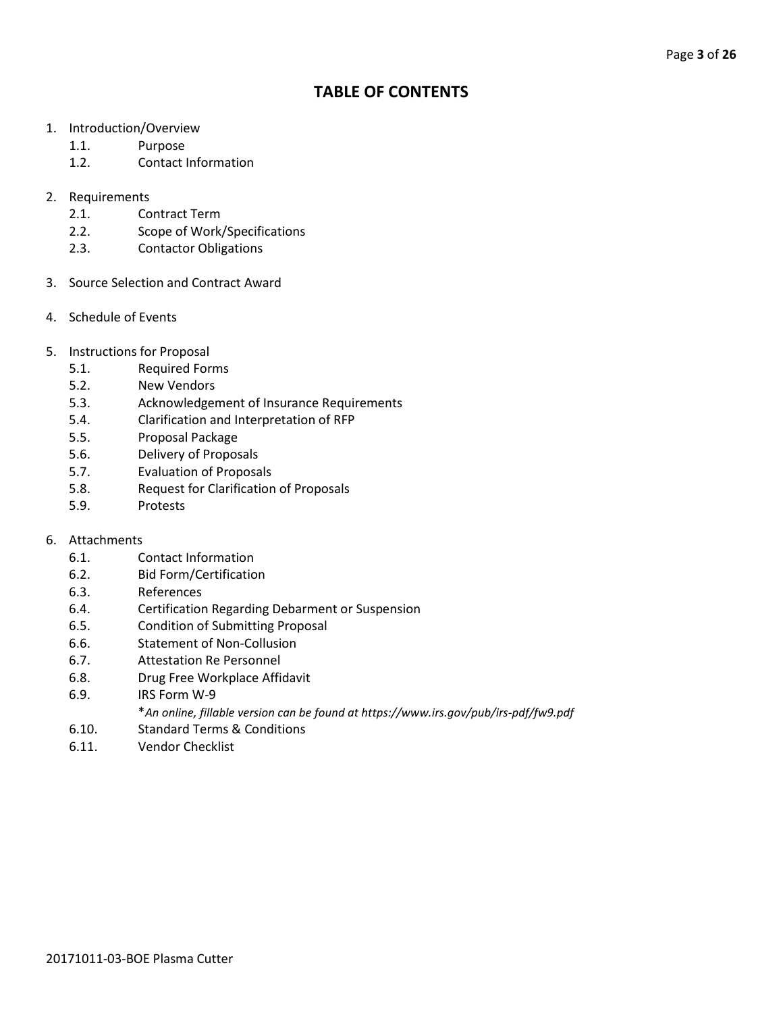# **TABLE OF CONTENTS**

- 1. Introduction/Overview
	- 1.1. Purpose
	- 1.2. Contact Information
- 2. Requirements
	- 2.1. Contract Term
	- 2.2. Scope of Work/Specifications
	- 2.3. Contactor Obligations
- 3. Source Selection and Contract Award
- 4. Schedule of Events
- 5. Instructions for Proposal
	- 5.1. Required Forms
	- 5.2. New Vendors
	- 5.3. Acknowledgement of Insurance Requirements
	- 5.4. Clarification and Interpretation of RFP
	- 5.5. Proposal Package
	- 5.6. Delivery of Proposals
	- 5.7. Evaluation of Proposals
	- 5.8. Request for Clarification of Proposals
	- 5.9. Protests

#### 6. Attachments

- 6.1. Contact Information
- 6.2. Bid Form/Certification
- 6.3. References
- 6.4. Certification Regarding Debarment or Suspension
- 6.5. Condition of Submitting Proposal
- 6.6. Statement of Non-Collusion
- 6.7. Attestation Re Personnel
- 6.8. Drug Free Workplace Affidavit
- 6.9. IRS Form W-9
	- \**An online, fillable version can be found at https://www.irs.gov/pub/irs-pdf/fw9.pdf*
- 6.10. Standard Terms & Conditions
- 6.11. Vendor Checklist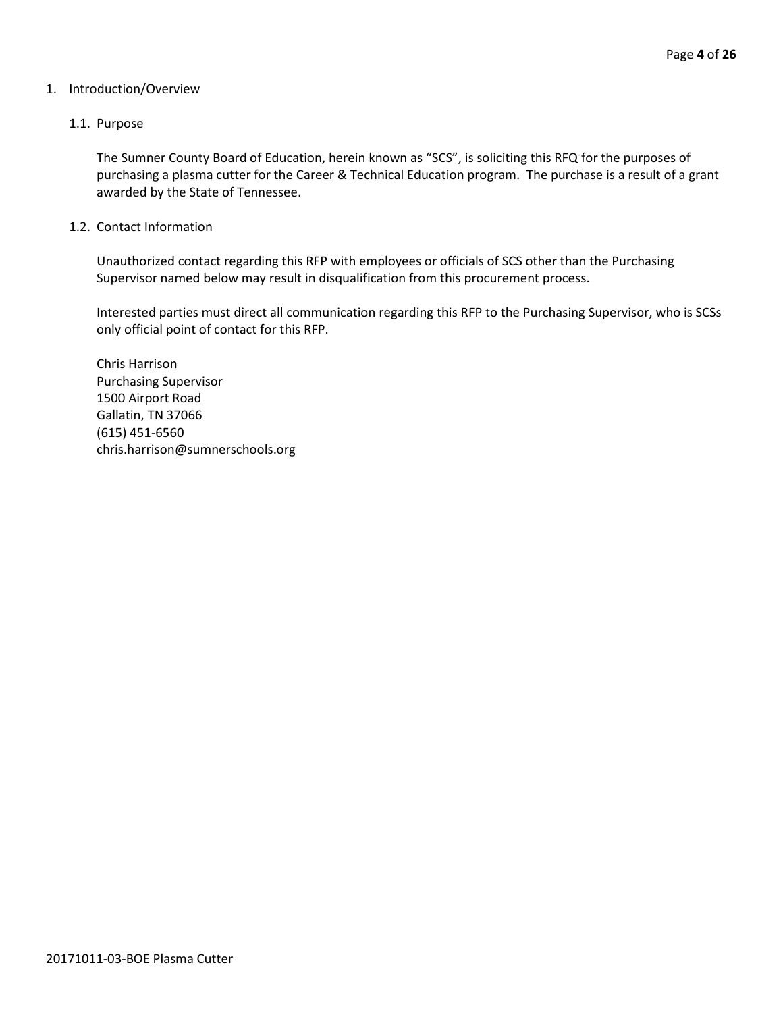#### 1. Introduction/Overview

#### 1.1. Purpose

The Sumner County Board of Education, herein known as "SCS", is soliciting this RFQ for the purposes of purchasing a plasma cutter for the Career & Technical Education program. The purchase is a result of a grant awarded by the State of Tennessee.

#### 1.2. Contact Information

Unauthorized contact regarding this RFP with employees or officials of SCS other than the Purchasing Supervisor named below may result in disqualification from this procurement process.

Interested parties must direct all communication regarding this RFP to the Purchasing Supervisor, who is SCSs only official point of contact for this RFP.

Chris Harrison Purchasing Supervisor 1500 Airport Road Gallatin, TN 37066 (615) 451-6560 chris.harrison@sumnerschools.org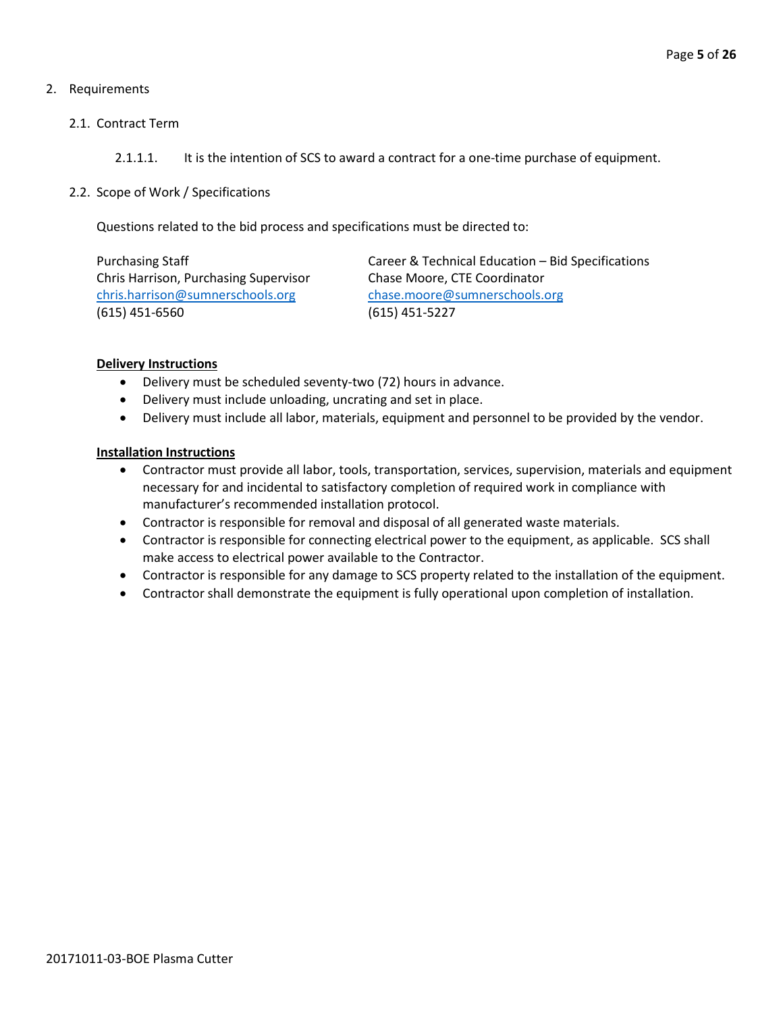## 2. Requirements

#### 2.1. Contract Term

## 2.1.1.1. It is the intention of SCS to award a contract for a one-time purchase of equipment.

#### 2.2. Scope of Work / Specifications

Questions related to the bid process and specifications must be directed to:

Chris Harrison, Purchasing Supervisor Chase Moore, CTE Coordinator [chris.harrison@sumnerschools.org](mailto:chris.harrison@sumnerschools.org) [chase.moore@sumnerschools.org](mailto:chase.moore@sumnerschools.org) (615) 451-6560 (615) 451-5227

Purchasing Staff **Career & Technical Education – Bid Specifications** 

#### **Delivery Instructions**

- Delivery must be scheduled seventy-two (72) hours in advance.
- Delivery must include unloading, uncrating and set in place.
- Delivery must include all labor, materials, equipment and personnel to be provided by the vendor.

#### **Installation Instructions**

- Contractor must provide all labor, tools, transportation, services, supervision, materials and equipment necessary for and incidental to satisfactory completion of required work in compliance with manufacturer's recommended installation protocol.
- Contractor is responsible for removal and disposal of all generated waste materials.
- Contractor is responsible for connecting electrical power to the equipment, as applicable. SCS shall make access to electrical power available to the Contractor.
- Contractor is responsible for any damage to SCS property related to the installation of the equipment.
- Contractor shall demonstrate the equipment is fully operational upon completion of installation.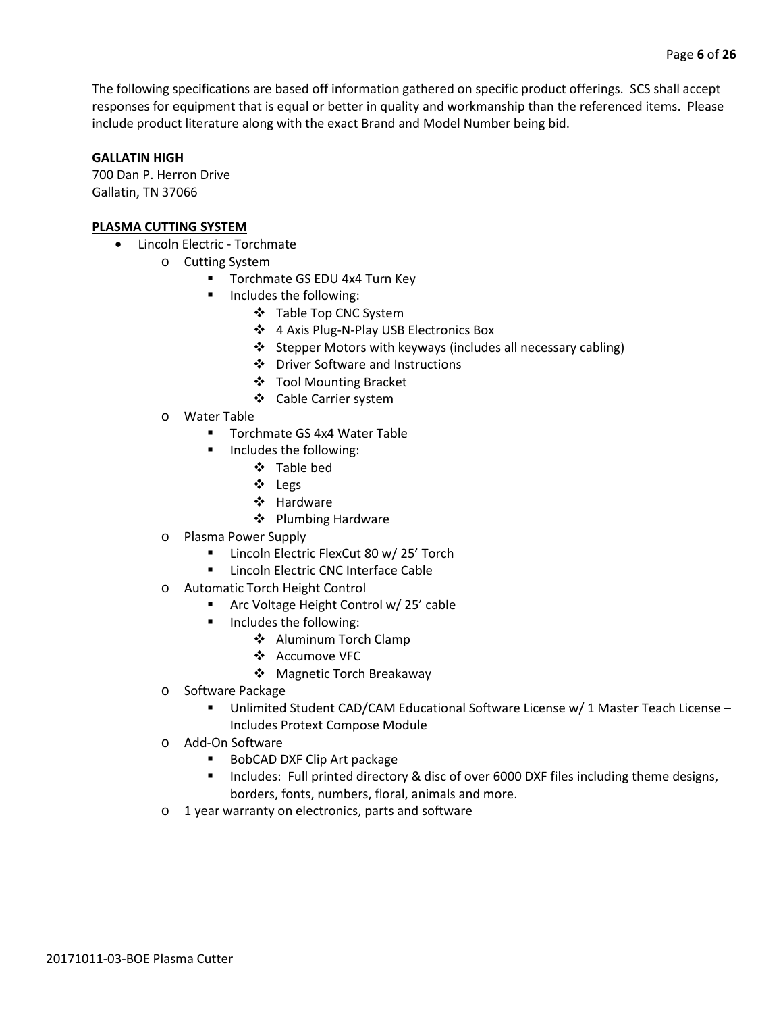The following specifications are based off information gathered on specific product offerings. SCS shall accept responses for equipment that is equal or better in quality and workmanship than the referenced items. Please include product literature along with the exact Brand and Model Number being bid.

#### **GALLATIN HIGH**

700 Dan P. Herron Drive Gallatin, TN 37066

#### **PLASMA CUTTING SYSTEM**

- Lincoln Electric Torchmate
	- o Cutting System
		- **Torchmate GS EDU 4x4 Turn Key**
		- **Includes the following:** 
			- ❖ Table Top CNC System
			- 4 Axis Plug-N-Play USB Electronics Box
			- ❖ Stepper Motors with keyways (includes all necessary cabling)
			- Driver Software and Instructions
			- Tool Mounting Bracket
			- Cable Carrier system
	- o Water Table
		- Torchmate GS 4x4 Water Table
		- Includes the following:
			- Table bed
			- Legs
			- ❖ Hardware
			- ❖ Plumbing Hardware
	- o Plasma Power Supply
		- **EXECUTE:** Lincoln Electric FlexCut 80 w/ 25' Torch
		- **EXEC** Lincoln Electric CNC Interface Cable
	- o Automatic Torch Height Control
		- **F** Arc Voltage Height Control w/ 25' cable
		- **Includes the following:** 
			- ❖ Aluminum Torch Clamp
			- Accumove VFC
			- Magnetic Torch Breakaway
	- o Software Package
		- Unlimited Student CAD/CAM Educational Software License w/ 1 Master Teach License Includes Protext Compose Module
	- o Add-On Software
		- BobCAD DXF Clip Art package
		- **Includes: Full printed directory & disc of over 6000 DXF files including theme designs,** borders, fonts, numbers, floral, animals and more.
	- o 1 year warranty on electronics, parts and software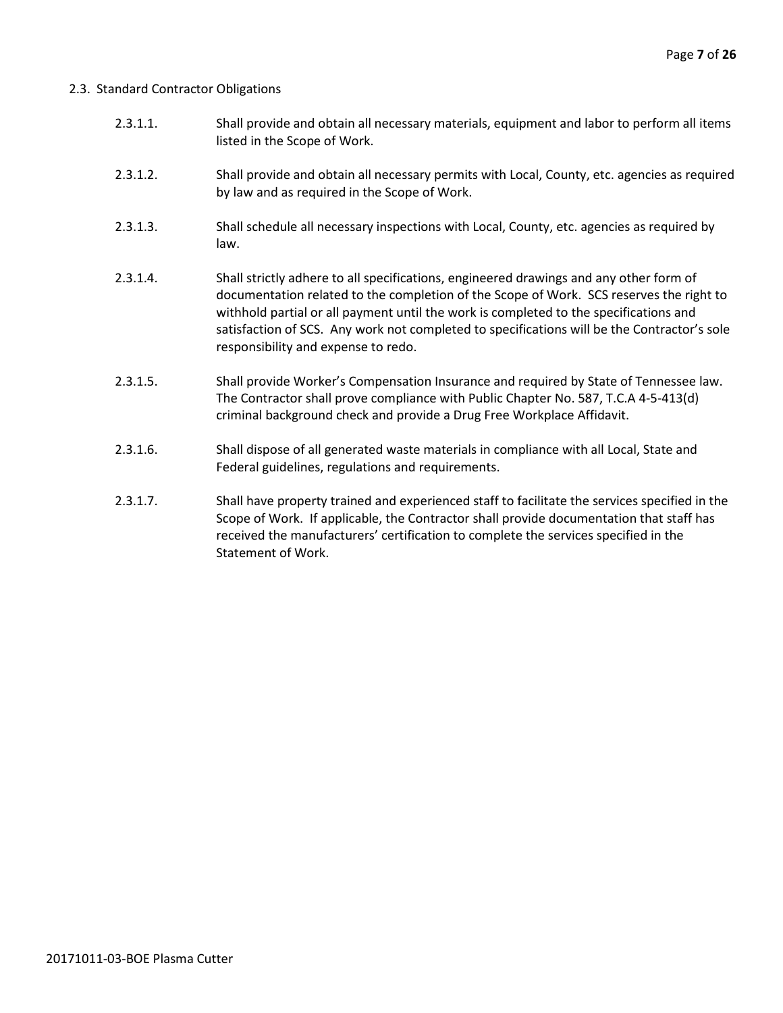#### 2.3. Standard Contractor Obligations

- 2.3.1.1. Shall provide and obtain all necessary materials, equipment and labor to perform all items listed in the Scope of Work.
- 2.3.1.2. Shall provide and obtain all necessary permits with Local, County, etc. agencies as required by law and as required in the Scope of Work.
- 2.3.1.3. Shall schedule all necessary inspections with Local, County, etc. agencies as required by law.
- 2.3.1.4. Shall strictly adhere to all specifications, engineered drawings and any other form of documentation related to the completion of the Scope of Work. SCS reserves the right to withhold partial or all payment until the work is completed to the specifications and satisfaction of SCS. Any work not completed to specifications will be the Contractor's sole responsibility and expense to redo.
- 2.3.1.5. Shall provide Worker's Compensation Insurance and required by State of Tennessee law. The Contractor shall prove compliance with Public Chapter No. 587, T.C.A 4-5-413(d) criminal background check and provide a Drug Free Workplace Affidavit.
- 2.3.1.6. Shall dispose of all generated waste materials in compliance with all Local, State and Federal guidelines, regulations and requirements.
- 2.3.1.7. Shall have property trained and experienced staff to facilitate the services specified in the Scope of Work. If applicable, the Contractor shall provide documentation that staff has received the manufacturers' certification to complete the services specified in the Statement of Work.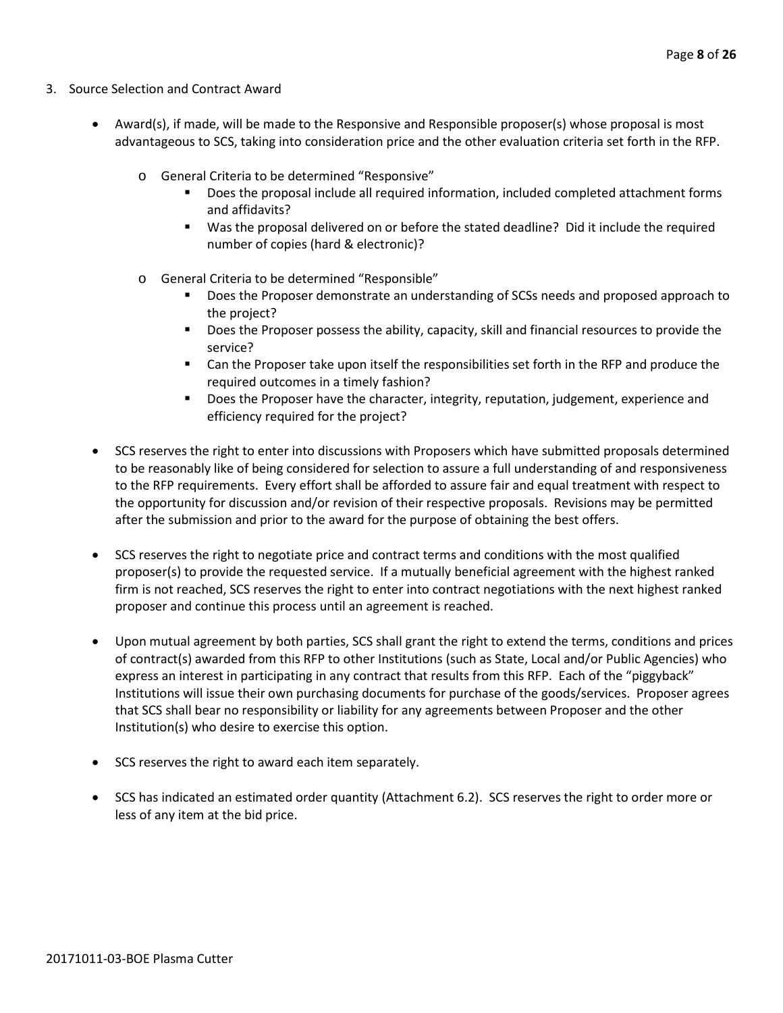- 3. Source Selection and Contract Award
	- Award(s), if made, will be made to the Responsive and Responsible proposer(s) whose proposal is most advantageous to SCS, taking into consideration price and the other evaluation criteria set forth in the RFP.
		- o General Criteria to be determined "Responsive"
			- Does the proposal include all required information, included completed attachment forms and affidavits?
			- Was the proposal delivered on or before the stated deadline? Did it include the required number of copies (hard & electronic)?
		- o General Criteria to be determined "Responsible"
			- Does the Proposer demonstrate an understanding of SCSs needs and proposed approach to the project?
			- **Does the Proposer possess the ability, capacity, skill and financial resources to provide the** service?
			- Can the Proposer take upon itself the responsibilities set forth in the RFP and produce the required outcomes in a timely fashion?
			- **Does the Proposer have the character, integrity, reputation, judgement, experience and** efficiency required for the project?
	- SCS reserves the right to enter into discussions with Proposers which have submitted proposals determined to be reasonably like of being considered for selection to assure a full understanding of and responsiveness to the RFP requirements. Every effort shall be afforded to assure fair and equal treatment with respect to the opportunity for discussion and/or revision of their respective proposals. Revisions may be permitted after the submission and prior to the award for the purpose of obtaining the best offers.
	- SCS reserves the right to negotiate price and contract terms and conditions with the most qualified proposer(s) to provide the requested service. If a mutually beneficial agreement with the highest ranked firm is not reached, SCS reserves the right to enter into contract negotiations with the next highest ranked proposer and continue this process until an agreement is reached.
	- Upon mutual agreement by both parties, SCS shall grant the right to extend the terms, conditions and prices of contract(s) awarded from this RFP to other Institutions (such as State, Local and/or Public Agencies) who express an interest in participating in any contract that results from this RFP. Each of the "piggyback" Institutions will issue their own purchasing documents for purchase of the goods/services. Proposer agrees that SCS shall bear no responsibility or liability for any agreements between Proposer and the other Institution(s) who desire to exercise this option.
	- SCS reserves the right to award each item separately.
	- SCS has indicated an estimated order quantity (Attachment 6.2). SCS reserves the right to order more or less of any item at the bid price.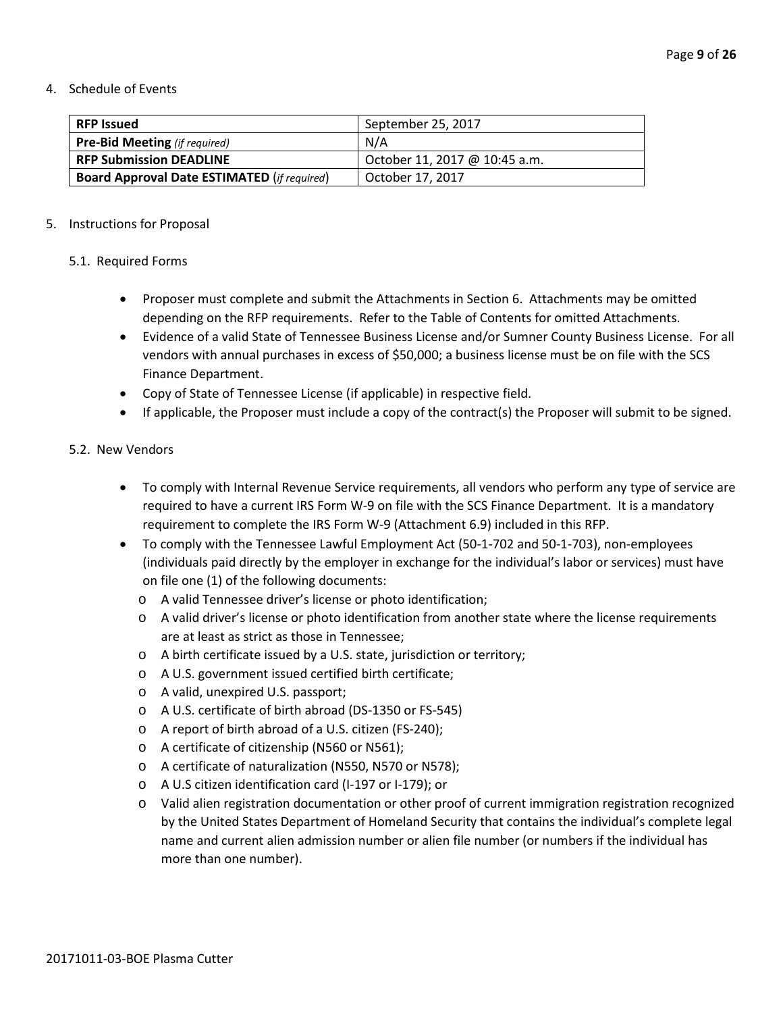#### 4. Schedule of Events

| <b>RFP Issued</b>                                  | September 25, 2017            |
|----------------------------------------------------|-------------------------------|
| <b>Pre-Bid Meeting</b> (if required)               | N/A                           |
| <b>RFP Submission DEADLINE</b>                     | October 11, 2017 @ 10:45 a.m. |
| <b>Board Approval Date ESTIMATED (if required)</b> | October 17, 2017              |

#### 5. Instructions for Proposal

#### 5.1. Required Forms

- Proposer must complete and submit the Attachments in Section 6. Attachments may be omitted depending on the RFP requirements. Refer to the Table of Contents for omitted Attachments.
- Evidence of a valid State of Tennessee Business License and/or Sumner County Business License. For all vendors with annual purchases in excess of \$50,000; a business license must be on file with the SCS Finance Department.
- Copy of State of Tennessee License (if applicable) in respective field.
- If applicable, the Proposer must include a copy of the contract(s) the Proposer will submit to be signed.

#### 5.2. New Vendors

- To comply with Internal Revenue Service requirements, all vendors who perform any type of service are required to have a current IRS Form W-9 on file with the SCS Finance Department. It is a mandatory requirement to complete the IRS Form W-9 (Attachment 6.9) included in this RFP.
- To comply with the Tennessee Lawful Employment Act (50-1-702 and 50-1-703), non-employees (individuals paid directly by the employer in exchange for the individual's labor or services) must have on file one (1) of the following documents:
	- o A valid Tennessee driver's license or photo identification;
	- o A valid driver's license or photo identification from another state where the license requirements are at least as strict as those in Tennessee;
	- o A birth certificate issued by a U.S. state, jurisdiction or territory;
	- o A U.S. government issued certified birth certificate;
	- o A valid, unexpired U.S. passport;
	- o A U.S. certificate of birth abroad (DS-1350 or FS-545)
	- o A report of birth abroad of a U.S. citizen (FS-240);
	- o A certificate of citizenship (N560 or N561);
	- o A certificate of naturalization (N550, N570 or N578);
	- o A U.S citizen identification card (I-197 or I-179); or
	- o Valid alien registration documentation or other proof of current immigration registration recognized by the United States Department of Homeland Security that contains the individual's complete legal name and current alien admission number or alien file number (or numbers if the individual has more than one number).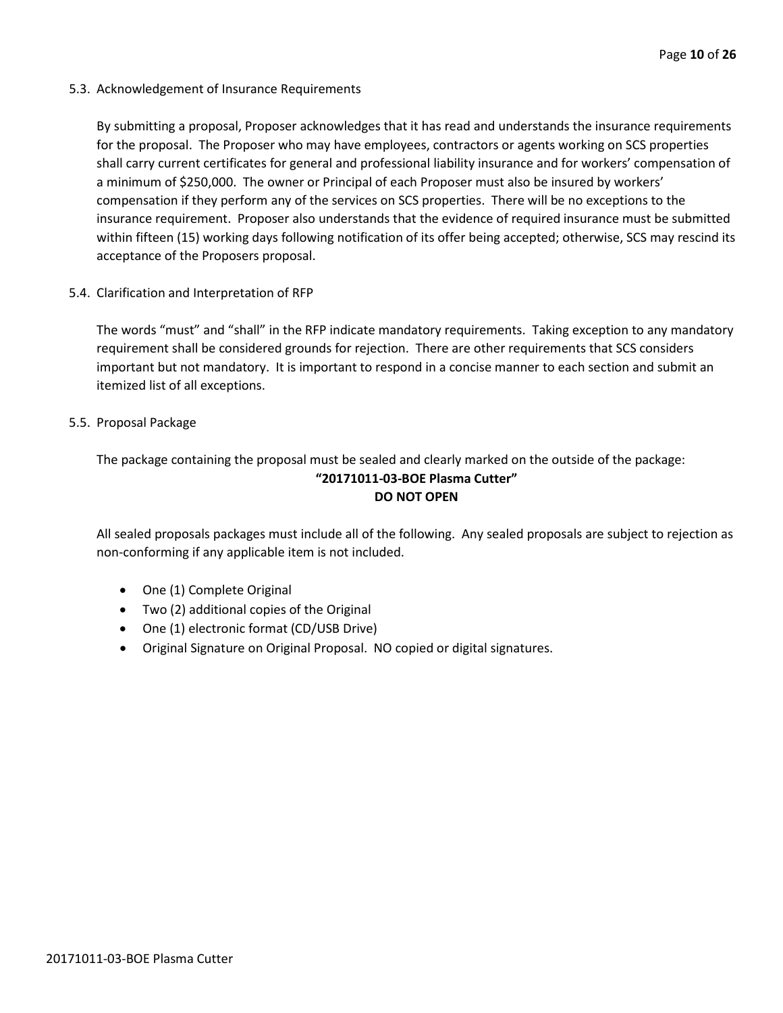5.3. Acknowledgement of Insurance Requirements

By submitting a proposal, Proposer acknowledges that it has read and understands the insurance requirements for the proposal. The Proposer who may have employees, contractors or agents working on SCS properties shall carry current certificates for general and professional liability insurance and for workers' compensation of a minimum of \$250,000. The owner or Principal of each Proposer must also be insured by workers' compensation if they perform any of the services on SCS properties. There will be no exceptions to the insurance requirement. Proposer also understands that the evidence of required insurance must be submitted within fifteen (15) working days following notification of its offer being accepted; otherwise, SCS may rescind its acceptance of the Proposers proposal.

5.4. Clarification and Interpretation of RFP

The words "must" and "shall" in the RFP indicate mandatory requirements. Taking exception to any mandatory requirement shall be considered grounds for rejection. There are other requirements that SCS considers important but not mandatory. It is important to respond in a concise manner to each section and submit an itemized list of all exceptions.

#### 5.5. Proposal Package

The package containing the proposal must be sealed and clearly marked on the outside of the package: **"20171011-03-BOE Plasma Cutter" DO NOT OPEN**

All sealed proposals packages must include all of the following. Any sealed proposals are subject to rejection as non-conforming if any applicable item is not included.

- One (1) Complete Original
- Two (2) additional copies of the Original
- One (1) electronic format (CD/USB Drive)
- Original Signature on Original Proposal. NO copied or digital signatures.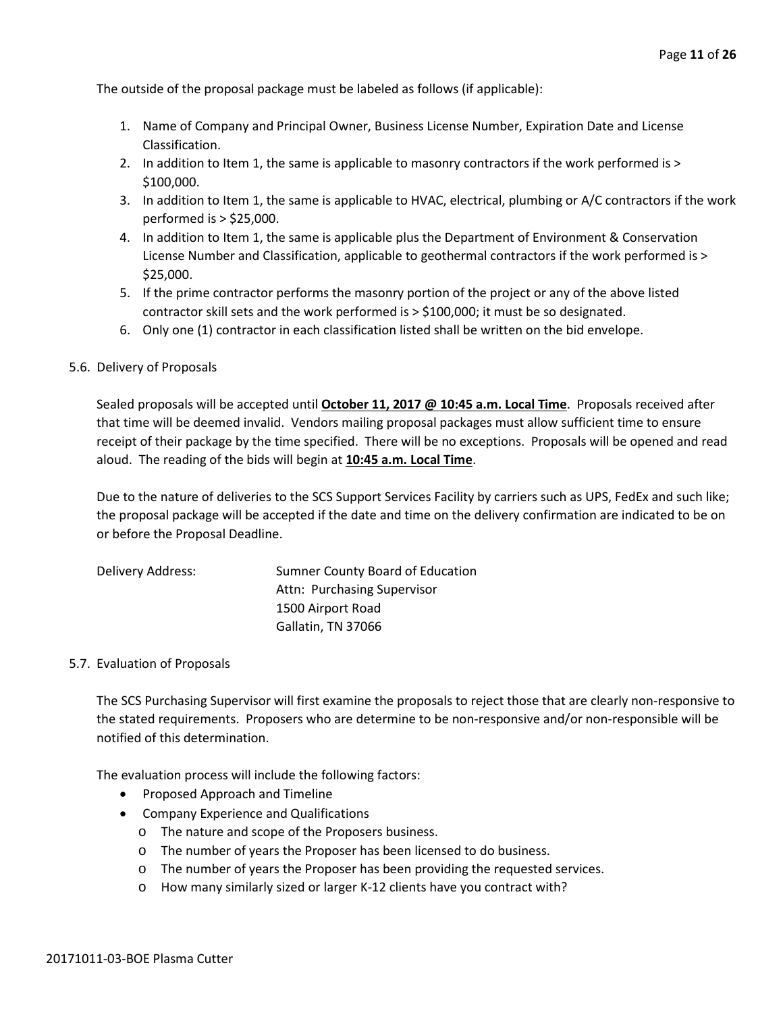The outside of the proposal package must be labeled as follows (if applicable):

- 1. Name of Company and Principal Owner, Business License Number, Expiration Date and License Classification.
- 2. In addition to Item 1, the same is applicable to masonry contractors if the work performed is > \$100,000.
- 3. In addition to Item 1, the same is applicable to HVAC, electrical, plumbing or A/C contractors if the work performed is > \$25,000.
- 4. In addition to Item 1, the same is applicable plus the Department of Environment & Conservation License Number and Classification, applicable to geothermal contractors if the work performed is > \$25,000.
- 5. If the prime contractor performs the masonry portion of the project or any of the above listed contractor skill sets and the work performed is > \$100,000; it must be so designated.
- 6. Only one (1) contractor in each classification listed shall be written on the bid envelope.

#### 5.6. Delivery of Proposals

Sealed proposals will be accepted until **October 11, 2017 @ 10:45 a.m. Local Time**. Proposals received after that time will be deemed invalid. Vendors mailing proposal packages must allow sufficient time to ensure receipt of their package by the time specified. There will be no exceptions. Proposals will be opened and read aloud. The reading of the bids will begin at **10:45 a.m. Local Time**.

Due to the nature of deliveries to the SCS Support Services Facility by carriers such as UPS, FedEx and such like; the proposal package will be accepted if the date and time on the delivery confirmation are indicated to be on or before the Proposal Deadline.

| Delivery Address: | Sumner County Board of Education |
|-------------------|----------------------------------|
|                   | Attn: Purchasing Supervisor      |
|                   | 1500 Airport Road                |
|                   | Gallatin, TN 37066               |

#### 5.7. Evaluation of Proposals

The SCS Purchasing Supervisor will first examine the proposals to reject those that are clearly non-responsive to the stated requirements. Proposers who are determine to be non-responsive and/or non-responsible will be notified of this determination.

The evaluation process will include the following factors:

- Proposed Approach and Timeline
- Company Experience and Qualifications
	- o The nature and scope of the Proposers business.
	- o The number of years the Proposer has been licensed to do business.
	- o The number of years the Proposer has been providing the requested services.
	- o How many similarly sized or larger K-12 clients have you contract with?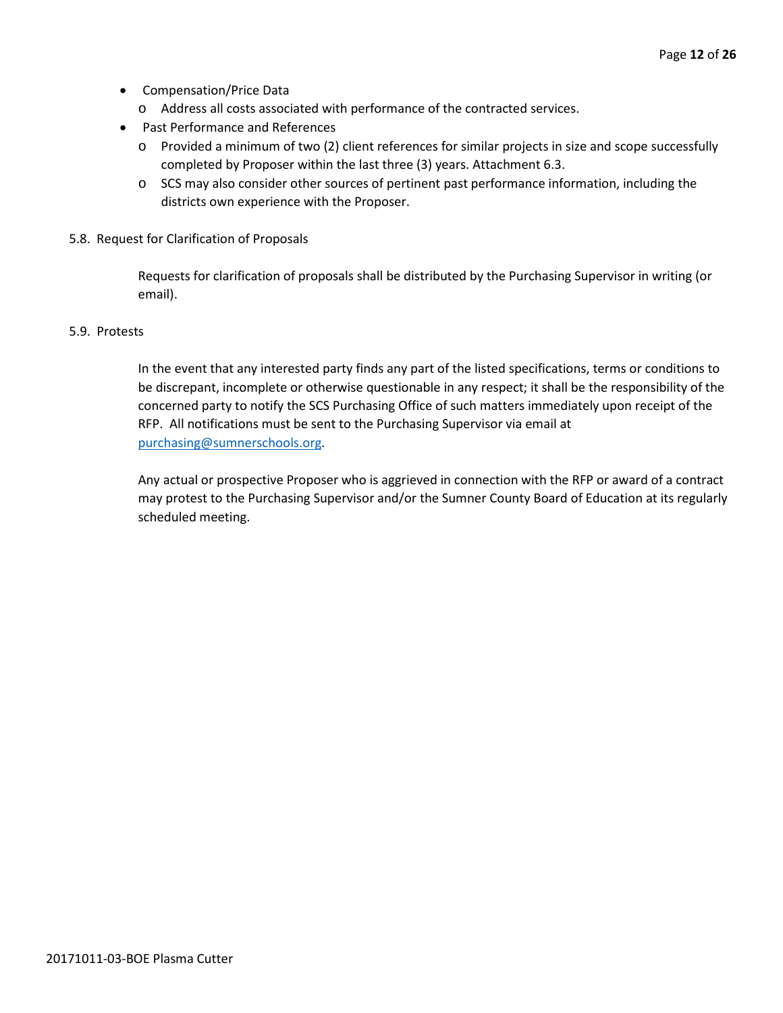- Compensation/Price Data
	- o Address all costs associated with performance of the contracted services.
- Past Performance and References
	- o Provided a minimum of two (2) client references for similar projects in size and scope successfully completed by Proposer within the last three (3) years. Attachment 6.3.
	- o SCS may also consider other sources of pertinent past performance information, including the districts own experience with the Proposer.
- 5.8. Request for Clarification of Proposals

Requests for clarification of proposals shall be distributed by the Purchasing Supervisor in writing (or email).

#### 5.9. Protests

In the event that any interested party finds any part of the listed specifications, terms or conditions to be discrepant, incomplete or otherwise questionable in any respect; it shall be the responsibility of the concerned party to notify the SCS Purchasing Office of such matters immediately upon receipt of the RFP. All notifications must be sent to the Purchasing Supervisor via email at [purchasing@sumnerschools.org.](mailto:purchasing@sumnerschools.org)

Any actual or prospective Proposer who is aggrieved in connection with the RFP or award of a contract may protest to the Purchasing Supervisor and/or the Sumner County Board of Education at its regularly scheduled meeting.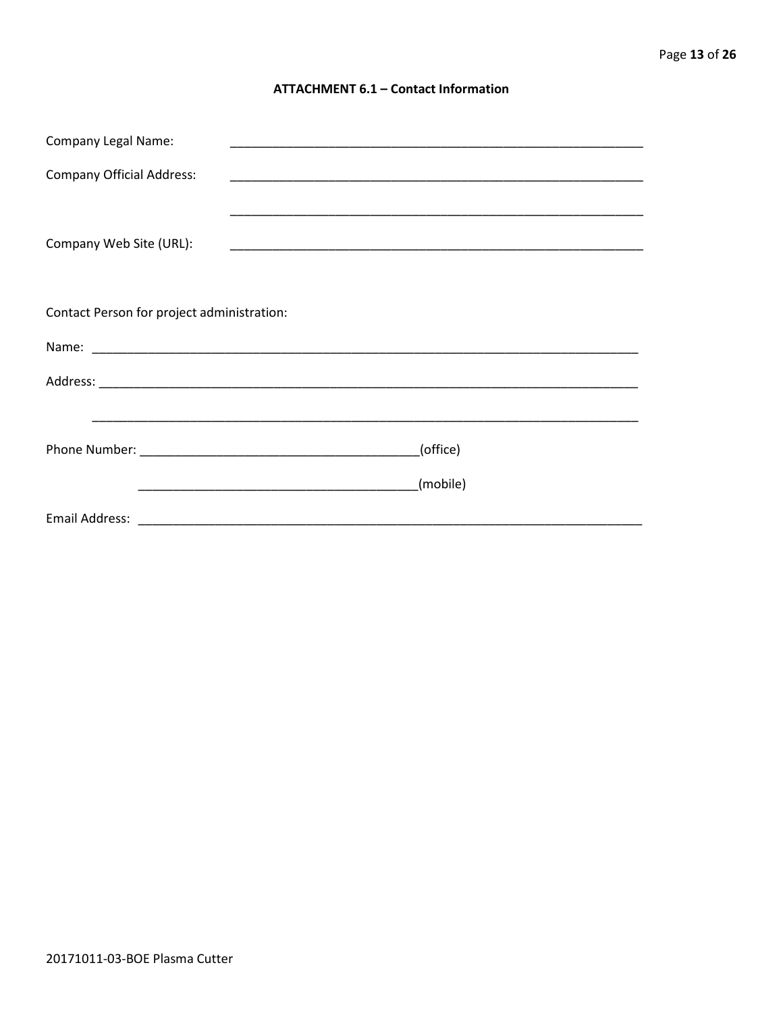#### **ATTACHMENT 6.1 - Contact Information**

| <b>Company Legal Name:</b>                 |          |
|--------------------------------------------|----------|
| <b>Company Official Address:</b>           |          |
|                                            |          |
| Company Web Site (URL):                    |          |
|                                            |          |
| Contact Person for project administration: |          |
|                                            |          |
|                                            |          |
|                                            |          |
|                                            | (office) |
|                                            | (mobile) |
|                                            |          |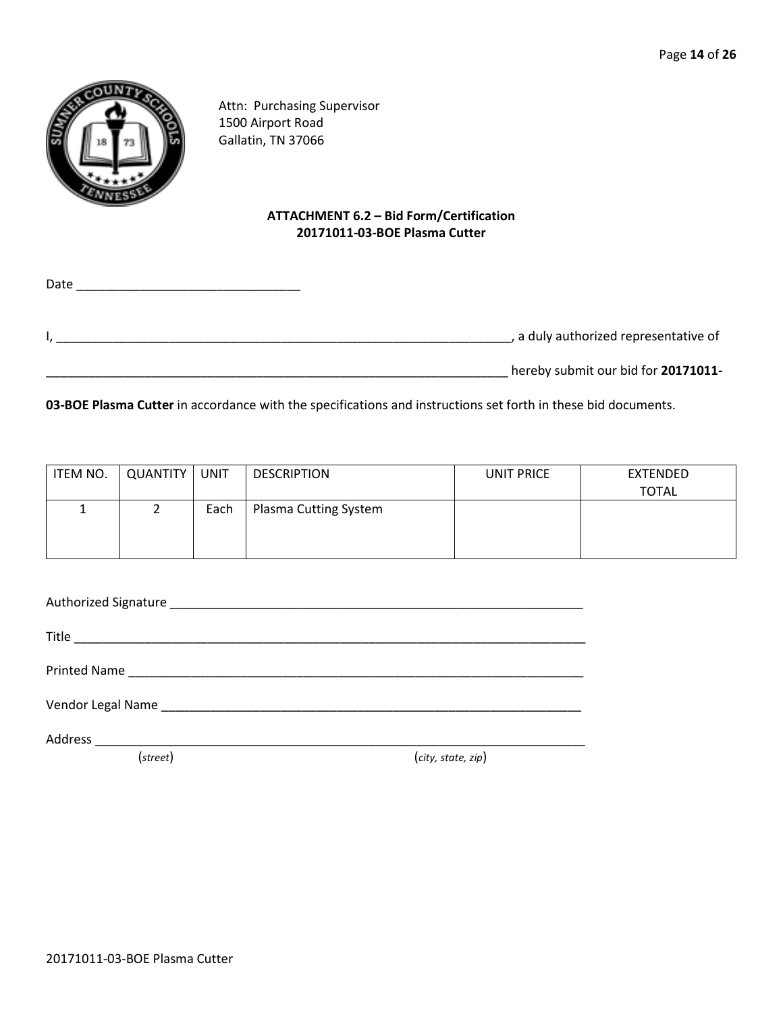

Attn: Purchasing Supervisor 1500 Airport Road Gallatin, TN 37066

# **ATTACHMENT 6.2 – Bid Form/Certification 20171011-03-BOE Plasma Cutter**

Date \_\_\_\_\_\_\_\_\_\_\_\_\_\_\_\_\_\_\_\_\_\_\_\_\_\_\_\_\_\_\_\_ I, \_\_\_\_\_\_\_\_\_\_\_\_\_\_\_\_\_\_\_\_\_\_\_\_\_\_\_\_\_\_\_\_\_\_\_\_\_\_\_\_\_\_\_\_\_\_\_\_\_\_\_\_\_\_\_\_\_\_\_\_\_\_\_\_\_, a duly authorized representative of \_\_\_\_\_\_\_\_\_\_\_\_\_\_\_\_\_\_\_\_\_\_\_\_\_\_\_\_\_\_\_\_\_\_\_\_\_\_\_\_\_\_\_\_\_\_\_\_\_\_\_\_\_\_\_\_\_\_\_\_\_\_\_\_\_\_ hereby submit our bid for **20171011-**

**03-BOE Plasma Cutter** in accordance with the specifications and instructions set forth in these bid documents.

| ITEM NO. | QUANTITY | UNIT | <b>DESCRIPTION</b>    | UNIT PRICE | EXTENDED     |
|----------|----------|------|-----------------------|------------|--------------|
|          |          |      |                       |            | <b>TOTAL</b> |
|          |          | Each | Plasma Cutting System |            |              |
|          |          |      |                       |            |              |
|          |          |      |                       |            |              |

| Vendor Legal Name Manuel Allen and Control and Control and Control and Control and Control and Control and Control and Control and Control and Control and Control and Control and Control and Control and Control and Control |                    |
|--------------------------------------------------------------------------------------------------------------------------------------------------------------------------------------------------------------------------------|--------------------|
|                                                                                                                                                                                                                                |                    |
| (street)                                                                                                                                                                                                                       | (city, state, zip) |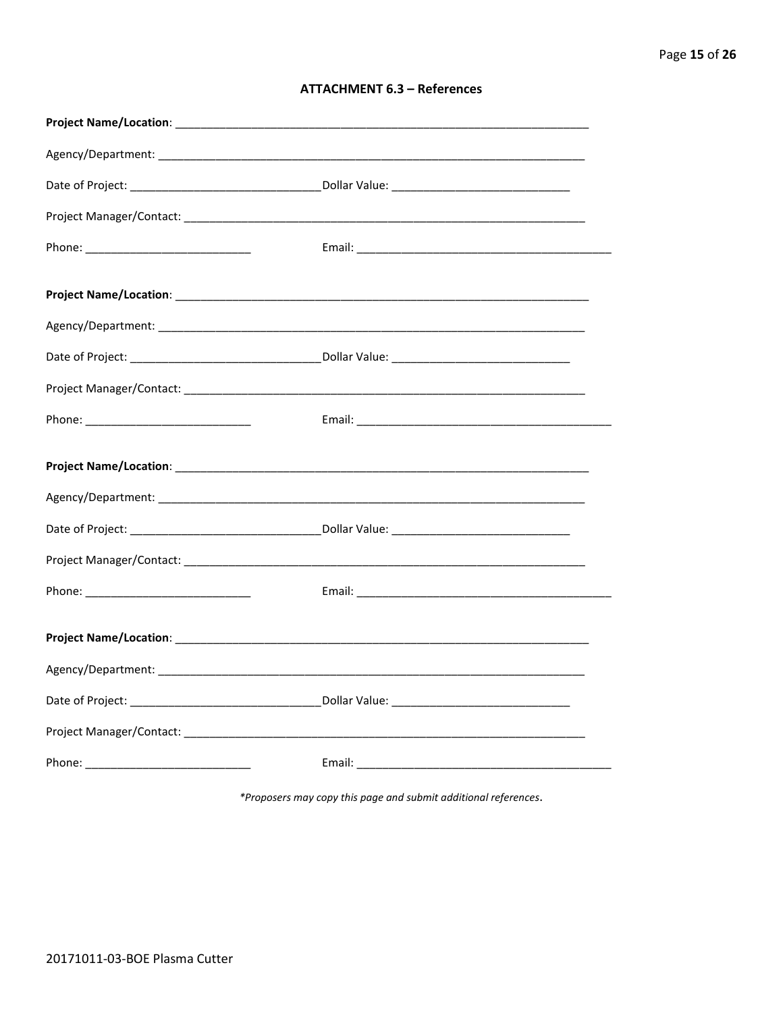| <b>ATTACHMENT 6.3 - References</b> |  |  |
|------------------------------------|--|--|
|------------------------------------|--|--|

\*Proposers may copy this page and submit additional references.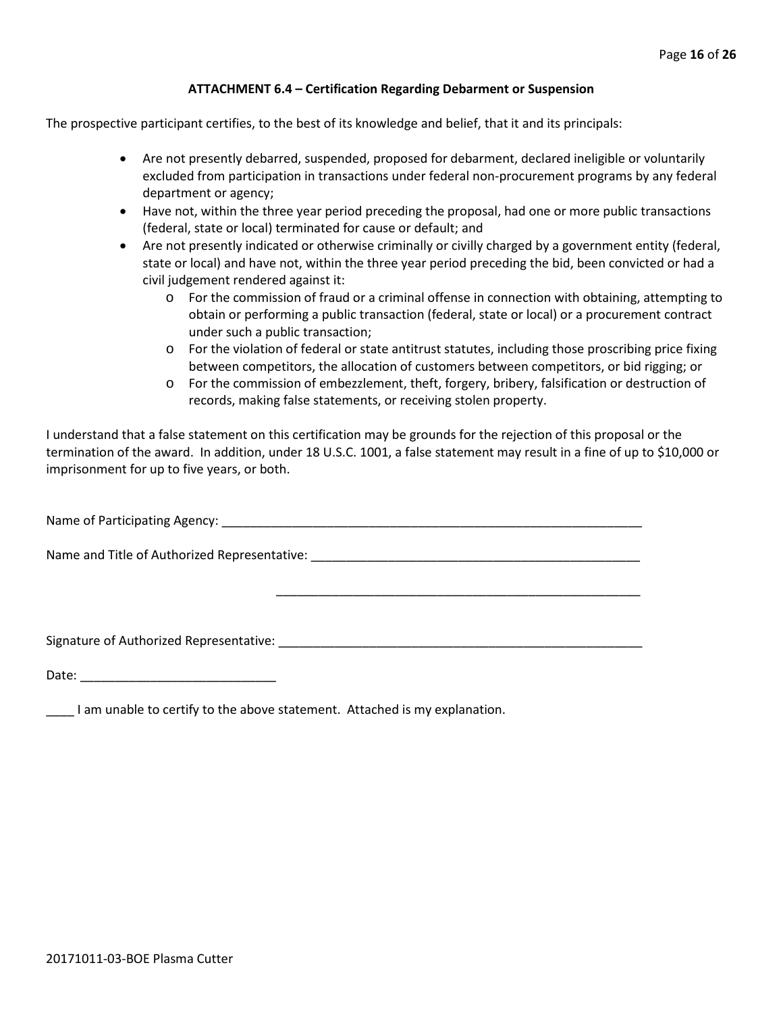#### **ATTACHMENT 6.4 – Certification Regarding Debarment or Suspension**

The prospective participant certifies, to the best of its knowledge and belief, that it and its principals:

- Are not presently debarred, suspended, proposed for debarment, declared ineligible or voluntarily excluded from participation in transactions under federal non-procurement programs by any federal department or agency;
- Have not, within the three year period preceding the proposal, had one or more public transactions (federal, state or local) terminated for cause or default; and
- Are not presently indicated or otherwise criminally or civilly charged by a government entity (federal, state or local) and have not, within the three year period preceding the bid, been convicted or had a civil judgement rendered against it:
	- o For the commission of fraud or a criminal offense in connection with obtaining, attempting to obtain or performing a public transaction (federal, state or local) or a procurement contract under such a public transaction;
	- o For the violation of federal or state antitrust statutes, including those proscribing price fixing between competitors, the allocation of customers between competitors, or bid rigging; or
	- o For the commission of embezzlement, theft, forgery, bribery, falsification or destruction of records, making false statements, or receiving stolen property.

\_\_\_\_\_\_\_\_\_\_\_\_\_\_\_\_\_\_\_\_\_\_\_\_\_\_\_\_\_\_\_\_\_\_\_\_\_\_\_\_\_\_\_\_\_\_\_\_\_\_\_\_

I understand that a false statement on this certification may be grounds for the rejection of this proposal or the termination of the award. In addition, under 18 U.S.C. 1001, a false statement may result in a fine of up to \$10,000 or imprisonment for up to five years, or both.

Name of Participating Agency: \_\_\_\_\_\_\_\_\_\_\_\_\_\_\_\_\_\_\_\_\_\_\_\_\_\_\_\_\_\_\_\_\_\_\_\_\_\_\_\_\_\_\_\_\_\_\_\_\_\_\_\_\_\_\_\_\_\_\_\_

Name and Title of Authorized Representative: \_\_\_\_\_\_\_\_\_\_\_\_\_\_\_\_\_\_\_\_\_\_\_\_\_\_\_\_\_\_\_\_\_\_\_\_\_\_\_\_\_\_\_\_\_\_\_

Signature of Authorized Representative: \_\_\_\_\_\_\_\_\_\_\_\_\_\_\_\_\_\_\_\_\_\_\_\_\_\_\_\_\_\_\_\_\_\_\_\_\_\_\_\_\_\_\_\_\_\_\_\_\_\_\_\_

Date: \_\_\_\_\_\_\_\_\_\_\_\_\_\_\_\_\_\_\_\_\_\_\_\_\_\_\_\_

\_\_\_\_ I am unable to certify to the above statement. Attached is my explanation.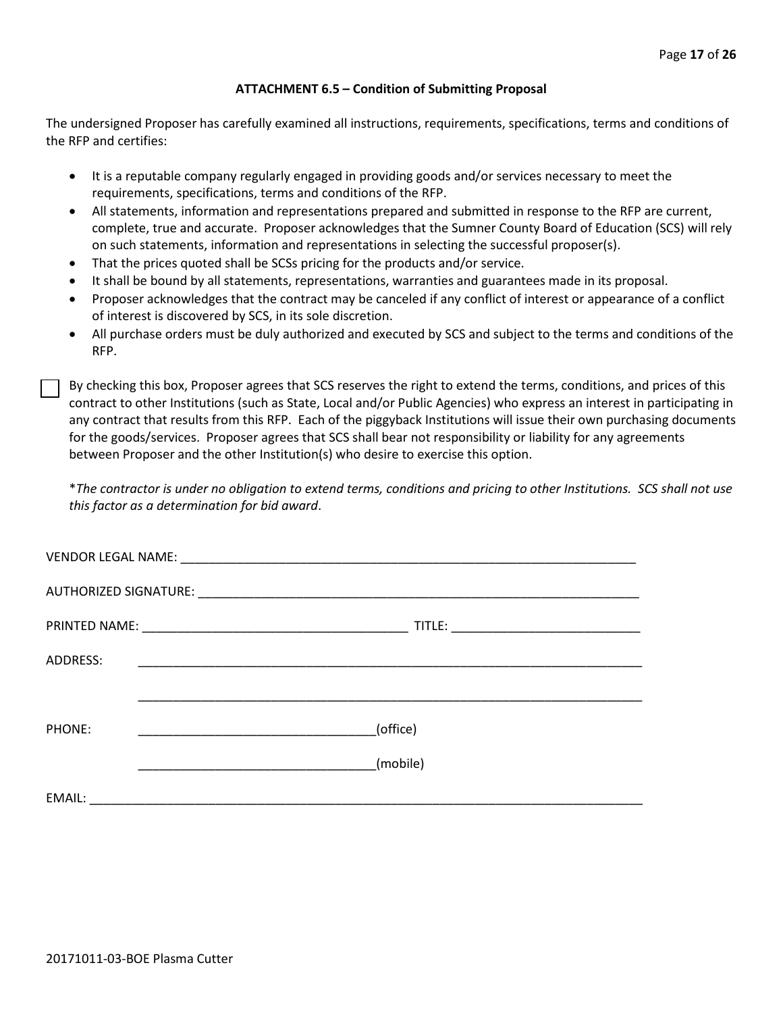#### **ATTACHMENT 6.5 – Condition of Submitting Proposal**

The undersigned Proposer has carefully examined all instructions, requirements, specifications, terms and conditions of the RFP and certifies:

- It is a reputable company regularly engaged in providing goods and/or services necessary to meet the requirements, specifications, terms and conditions of the RFP.
- All statements, information and representations prepared and submitted in response to the RFP are current, complete, true and accurate. Proposer acknowledges that the Sumner County Board of Education (SCS) will rely on such statements, information and representations in selecting the successful proposer(s).
- That the prices quoted shall be SCSs pricing for the products and/or service.
- It shall be bound by all statements, representations, warranties and guarantees made in its proposal.
- Proposer acknowledges that the contract may be canceled if any conflict of interest or appearance of a conflict of interest is discovered by SCS, in its sole discretion.
- All purchase orders must be duly authorized and executed by SCS and subject to the terms and conditions of the RFP.

By checking this box, Proposer agrees that SCS reserves the right to extend the terms, conditions, and prices of this contract to other Institutions (such as State, Local and/or Public Agencies) who express an interest in participating in any contract that results from this RFP. Each of the piggyback Institutions will issue their own purchasing documents for the goods/services. Proposer agrees that SCS shall bear not responsibility or liability for any agreements between Proposer and the other Institution(s) who desire to exercise this option.

\**The contractor is under no obligation to extend terms, conditions and pricing to other Institutions. SCS shall not use this factor as a determination for bid award*.

| ADDRESS: |                                                                       |
|----------|-----------------------------------------------------------------------|
|          |                                                                       |
| PHONE:   | (office)<br><u> 1989 - Johann Barbara, martin amerikan personal (</u> |
|          | (mobile)                                                              |
| EMAIL:   |                                                                       |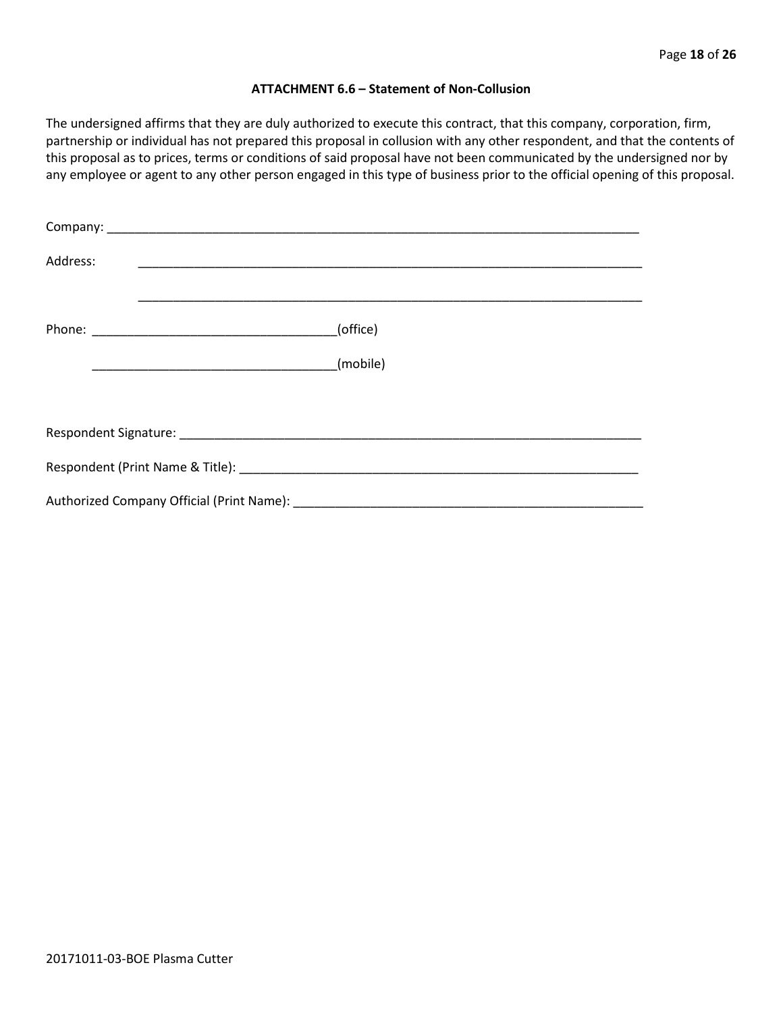#### **ATTACHMENT 6.6 – Statement of Non-Collusion**

The undersigned affirms that they are duly authorized to execute this contract, that this company, corporation, firm, partnership or individual has not prepared this proposal in collusion with any other respondent, and that the contents of this proposal as to prices, terms or conditions of said proposal have not been communicated by the undersigned nor by any employee or agent to any other person engaged in this type of business prior to the official opening of this proposal.

| Address: |          |
|----------|----------|
|          | (office) |
|          | (mobile) |
|          |          |
|          |          |
|          |          |
|          |          |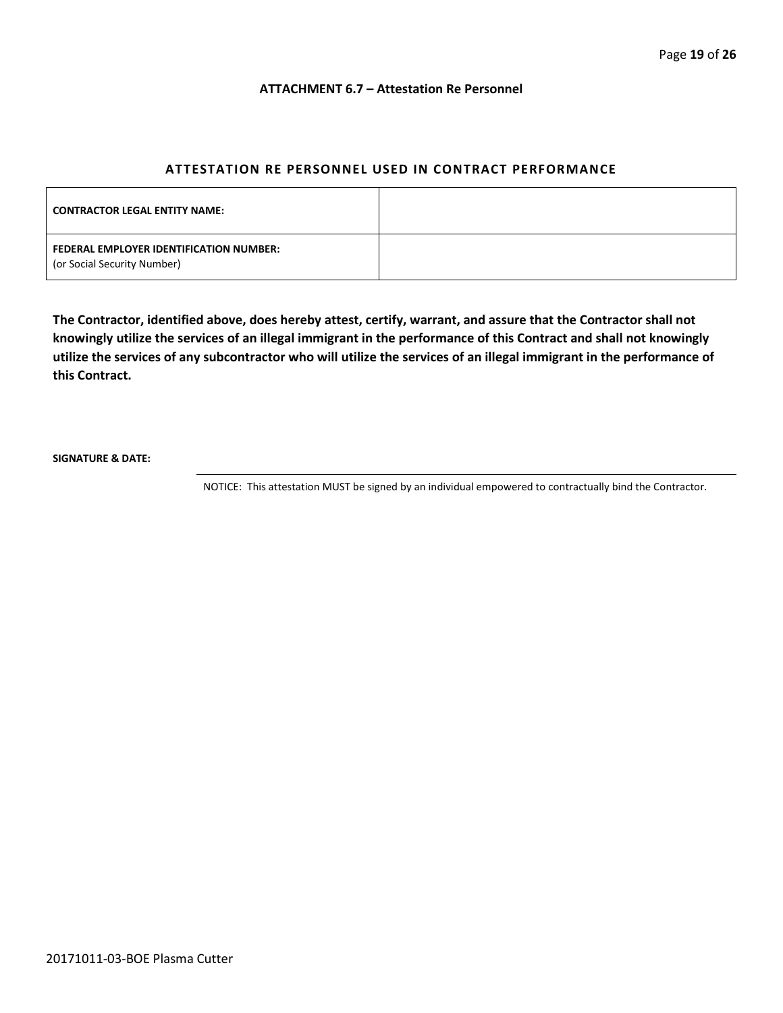#### **ATTACHMENT 6.7 – Attestation Re Personnel**

### **ATTESTATION RE PERSONNEL USED IN CONTRACT PERFORMANCE**

| <b>CONTRACTOR LEGAL ENTITY NAME:</b>                                   |  |
|------------------------------------------------------------------------|--|
| FEDERAL EMPLOYER IDENTIFICATION NUMBER:<br>(or Social Security Number) |  |

**The Contractor, identified above, does hereby attest, certify, warrant, and assure that the Contractor shall not knowingly utilize the services of an illegal immigrant in the performance of this Contract and shall not knowingly utilize the services of any subcontractor who will utilize the services of an illegal immigrant in the performance of this Contract.**

**SIGNATURE & DATE:**

NOTICE: This attestation MUST be signed by an individual empowered to contractually bind the Contractor.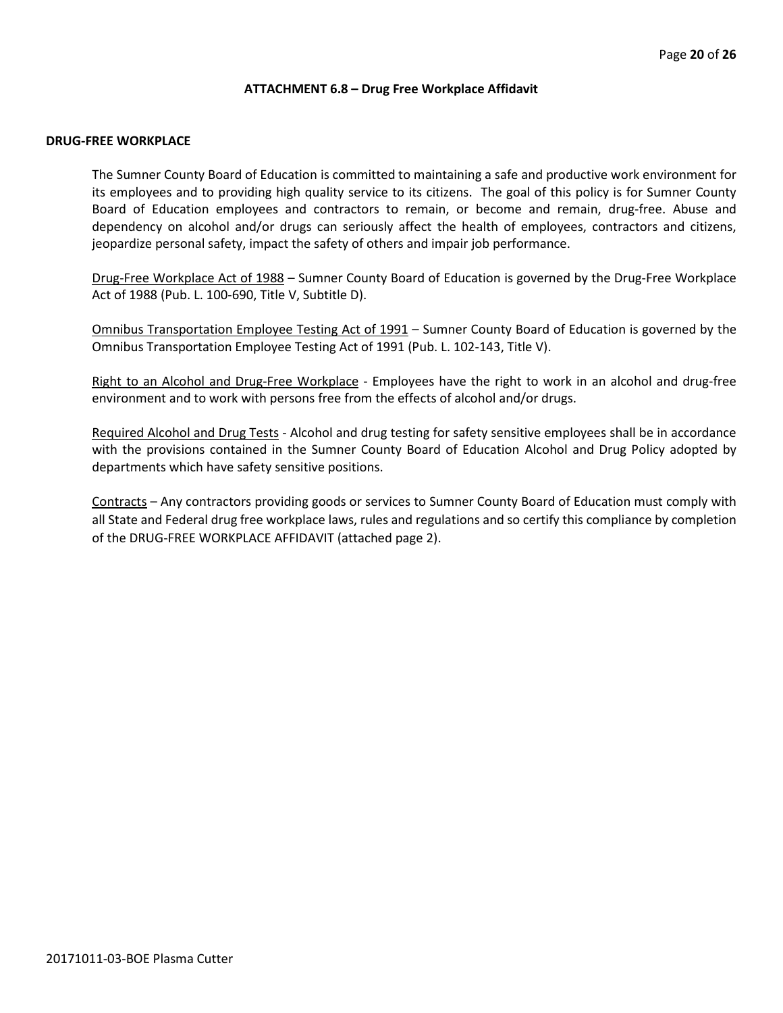#### **ATTACHMENT 6.8 – Drug Free Workplace Affidavit**

#### **DRUG-FREE WORKPLACE**

The Sumner County Board of Education is committed to maintaining a safe and productive work environment for its employees and to providing high quality service to its citizens. The goal of this policy is for Sumner County Board of Education employees and contractors to remain, or become and remain, drug-free. Abuse and dependency on alcohol and/or drugs can seriously affect the health of employees, contractors and citizens, jeopardize personal safety, impact the safety of others and impair job performance.

Drug-Free Workplace Act of 1988 – Sumner County Board of Education is governed by the Drug-Free Workplace Act of 1988 (Pub. L. 100-690, Title V, Subtitle D).

Omnibus Transportation Employee Testing Act of 1991 – Sumner County Board of Education is governed by the Omnibus Transportation Employee Testing Act of 1991 (Pub. L. 102-143, Title V).

Right to an Alcohol and Drug-Free Workplace - Employees have the right to work in an alcohol and drug-free environment and to work with persons free from the effects of alcohol and/or drugs.

Required Alcohol and Drug Tests - Alcohol and drug testing for safety sensitive employees shall be in accordance with the provisions contained in the Sumner County Board of Education Alcohol and Drug Policy adopted by departments which have safety sensitive positions.

Contracts – Any contractors providing goods or services to Sumner County Board of Education must comply with all State and Federal drug free workplace laws, rules and regulations and so certify this compliance by completion of the DRUG-FREE WORKPLACE AFFIDAVIT (attached page 2).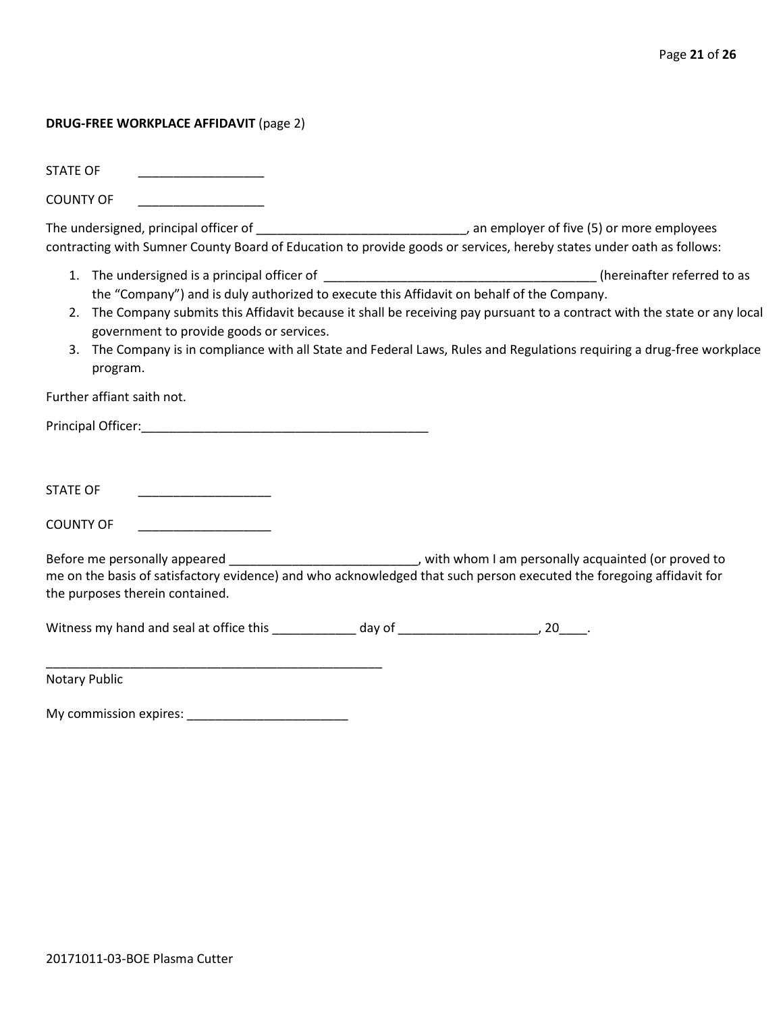#### **DRUG-FREE WORKPLACE AFFIDAVIT** (page 2)

STATE OF

COUNTY OF \_\_\_\_\_\_\_\_\_\_\_\_\_\_\_\_\_\_

The undersigned, principal officer of \_\_\_\_\_\_\_\_\_\_\_\_\_\_\_\_\_\_\_\_\_\_\_\_\_\_\_\_\_\_\_\_\_\_, an employer of five (5) or more employees contracting with Sumner County Board of Education to provide goods or services, hereby states under oath as follows:

- 1. The undersigned is a principal officer of \_\_\_\_\_\_\_\_\_\_\_\_\_\_\_\_\_\_\_\_\_\_\_\_\_\_\_\_\_\_\_\_\_\_\_\_\_\_\_ (hereinafter referred to as the "Company") and is duly authorized to execute this Affidavit on behalf of the Company.
- 2. The Company submits this Affidavit because it shall be receiving pay pursuant to a contract with the state or any local government to provide goods or services.
- 3. The Company is in compliance with all State and Federal Laws, Rules and Regulations requiring a drug-free workplace program.

Further affiant saith not.

Principal Officer:\_\_\_\_\_\_\_\_\_\_\_\_\_\_\_\_\_\_\_\_\_\_\_\_\_\_\_\_\_\_\_\_\_\_\_\_\_\_\_\_\_

STATE OF \_\_\_\_\_\_\_\_\_\_\_\_\_\_\_\_\_\_\_

COUNTY OF

Before me personally appeared \_\_\_\_\_\_\_\_\_\_\_\_\_\_\_\_\_\_\_\_\_\_\_\_\_\_\_\_\_, with whom I am personally acquainted (or proved to me on the basis of satisfactory evidence) and who acknowledged that such person executed the foregoing affidavit for the purposes therein contained.

Witness my hand and seal at office this \_\_\_\_\_\_\_\_\_\_\_\_\_ day of \_\_\_\_\_\_\_\_\_\_\_\_\_\_\_\_\_\_\_\_, 20\_\_\_\_.

Notary Public

My commission expires: \_\_\_\_\_\_\_\_\_\_\_\_\_\_\_\_\_\_\_\_\_\_\_

\_\_\_\_\_\_\_\_\_\_\_\_\_\_\_\_\_\_\_\_\_\_\_\_\_\_\_\_\_\_\_\_\_\_\_\_\_\_\_\_\_\_\_\_\_\_\_\_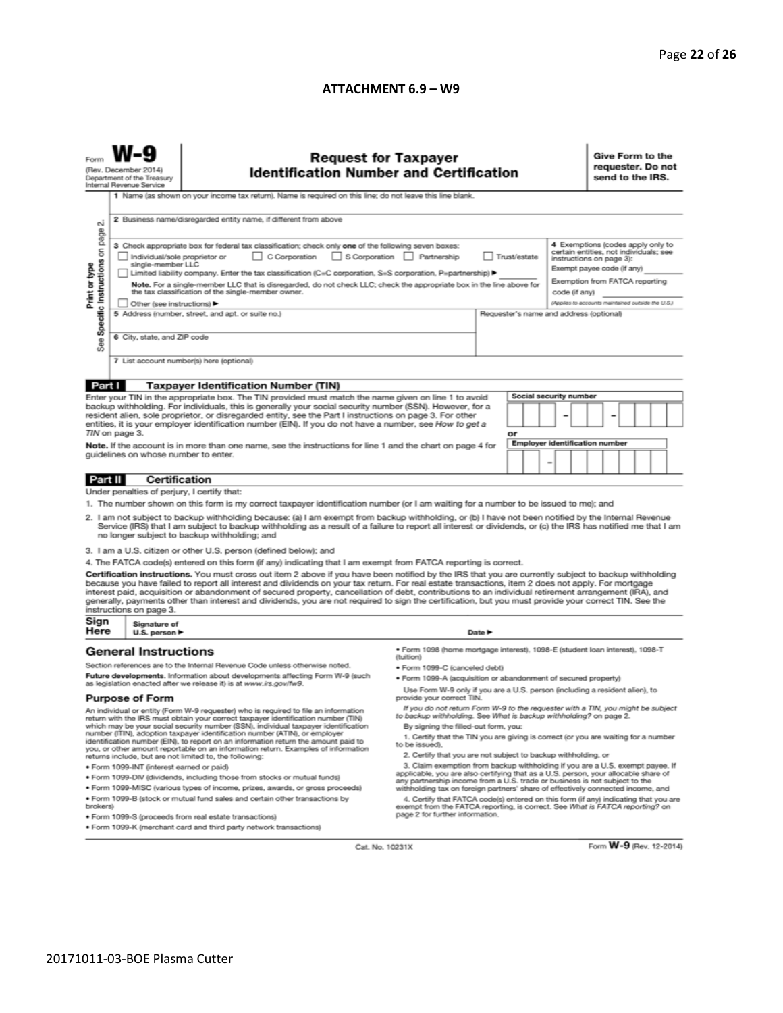#### **ATTACHMENT 6.9 – W9**

| <b>Request for Taxpayer</b><br>(Rev. December 2014)<br><b>Identification Number and Certification</b><br>Department of the Treasury<br>Internal Revenue Service<br>1 Name (as shown on your income tax return). Name is required on this line; do not leave this line blank.<br>2 Business name/disregarded entity name, if different from above<br>N                                                                                                                                                                                                                                                                                                                                                                                                                                                                                                                                                                                                                                                                                                                                                                                                                                                                                                                                                                                                                                                                                                                                                                                                                                                                                                                                                                                                                                                                                                                                                                                              | requester. Do not<br>send to the IRS. |  |  |
|----------------------------------------------------------------------------------------------------------------------------------------------------------------------------------------------------------------------------------------------------------------------------------------------------------------------------------------------------------------------------------------------------------------------------------------------------------------------------------------------------------------------------------------------------------------------------------------------------------------------------------------------------------------------------------------------------------------------------------------------------------------------------------------------------------------------------------------------------------------------------------------------------------------------------------------------------------------------------------------------------------------------------------------------------------------------------------------------------------------------------------------------------------------------------------------------------------------------------------------------------------------------------------------------------------------------------------------------------------------------------------------------------------------------------------------------------------------------------------------------------------------------------------------------------------------------------------------------------------------------------------------------------------------------------------------------------------------------------------------------------------------------------------------------------------------------------------------------------------------------------------------------------------------------------------------------------|---------------------------------------|--|--|
| Specific Instructions on page<br>4 Exemptions (codes apply only to<br>3 Check appropriate box for federal tax classification; check only one of the following seven boxes:<br>certain entities, not individuals; see<br>C Corporation<br>S Corporation Partnership<br>Trust/estate<br>Individual/sole proprietor or<br>instructions on page 3):<br>single-member LLC<br>Print or type<br>Exempt payee code (if any)<br>Limited liability company. Enter the tax classification (C=C corporation, S=S corporation, P=partnership) ▶<br>Exemption from FATCA reporting<br>Note. For a single-member LLC that is disregarded, do not check LLC; check the appropriate box in the line above for<br>the tax classification of the single-member owner.<br>code (if any)<br>(Applies to accounts maintained outside the U.S.)<br>Other (see instructions) ▶<br>5 Address (number, street, and apt. or suite no.)<br>Requester's name and address (optional)<br>6 City, state, and ZIP code<br>See<br>7 List account number(s) here (optional)                                                                                                                                                                                                                                                                                                                                                                                                                                                                                                                                                                                                                                                                                                                                                                                                                                                                                                           |                                       |  |  |
|                                                                                                                                                                                                                                                                                                                                                                                                                                                                                                                                                                                                                                                                                                                                                                                                                                                                                                                                                                                                                                                                                                                                                                                                                                                                                                                                                                                                                                                                                                                                                                                                                                                                                                                                                                                                                                                                                                                                                    |                                       |  |  |
| Part I<br><b>Taxpayer Identification Number (TIN)</b><br>Social security number<br>Enter your TIN in the appropriate box. The TIN provided must match the name given on line 1 to avoid<br>backup withholding. For individuals, this is generally your social security number (SSN). However, for a<br>resident alien, sole proprietor, or disregarded entity, see the Part I instructions on page 3. For other<br>entities, it is your employer identification number (EIN). If you do not have a number, see How to get a<br>TIN on page 3.<br>or<br>Employer identification number<br>Note. If the account is in more than one name, see the instructions for line 1 and the chart on page 4 for<br>guidelines on whose number to enter.<br>-                                                                                                                                                                                                                                                                                                                                                                                                                                                                                                                                                                                                                                                                                                                                                                                                                                                                                                                                                                                                                                                                                                                                                                                                   |                                       |  |  |
|                                                                                                                                                                                                                                                                                                                                                                                                                                                                                                                                                                                                                                                                                                                                                                                                                                                                                                                                                                                                                                                                                                                                                                                                                                                                                                                                                                                                                                                                                                                                                                                                                                                                                                                                                                                                                                                                                                                                                    |                                       |  |  |
| <b>Certification</b><br>Part II                                                                                                                                                                                                                                                                                                                                                                                                                                                                                                                                                                                                                                                                                                                                                                                                                                                                                                                                                                                                                                                                                                                                                                                                                                                                                                                                                                                                                                                                                                                                                                                                                                                                                                                                                                                                                                                                                                                    |                                       |  |  |
| Under penalties of perjury, I certify that:<br>1. The number shown on this form is my correct taxpayer identification number (or I am waiting for a number to be issued to me); and<br>2. I am not subject to backup withholding because: (a) I am exempt from backup withholding, or (b) I have not been notified by the Internal Revenue<br>Service (IRS) that I am subject to backup withholding as a result of a failure to report all interest or dividends, or (c) the IRS has notified me that I am<br>no longer subject to backup withholding; and<br>3. I am a U.S. citizen or other U.S. person (defined below); and<br>4. The FATCA code(s) entered on this form (if any) indicating that I am exempt from FATCA reporting is correct.<br>Certification instructions. You must cross out item 2 above if you have been notified by the IRS that you are currently subject to backup withholding<br>because you have failed to report all interest and dividends on your tax return. For real estate transactions, item 2 does not apply. For mortgage<br>interest paid, acquisition or abandonment of secured property, cancellation of debt, contributions to an individual retirement arrangement (IRA), and<br>generally, payments other than interest and dividends, you are not required to sign the certification, but you must provide your correct TIN. See the<br>instructions on page 3.                                                                                                                                                                                                                                                                                                                                                                                                                                                                                                                                      |                                       |  |  |
| Sign<br>Signature of                                                                                                                                                                                                                                                                                                                                                                                                                                                                                                                                                                                                                                                                                                                                                                                                                                                                                                                                                                                                                                                                                                                                                                                                                                                                                                                                                                                                                                                                                                                                                                                                                                                                                                                                                                                                                                                                                                                               |                                       |  |  |
| Here<br>U.S. person ▶<br>Date P<br>· Form 1098 (home mortgage interest), 1098-E (student Ioan interest), 1098-T<br><b>General Instructions</b>                                                                                                                                                                                                                                                                                                                                                                                                                                                                                                                                                                                                                                                                                                                                                                                                                                                                                                                                                                                                                                                                                                                                                                                                                                                                                                                                                                                                                                                                                                                                                                                                                                                                                                                                                                                                     |                                       |  |  |
| (tuition)<br>Section references are to the Internal Revenue Code unless otherwise noted.<br>• Form 1099-C (canceled debt)<br>Future developments. Information about developments affecting Form W-9 (such<br>. Form 1099-A (acquisition or abandonment of secured property)<br>as legislation enacted after we release it) is at www.irs.gov/fw9.<br>Use Form W-9 only if you are a U.S. person (including a resident alien), to<br>provide your correct TIN.<br><b>Purpose of Form</b>                                                                                                                                                                                                                                                                                                                                                                                                                                                                                                                                                                                                                                                                                                                                                                                                                                                                                                                                                                                                                                                                                                                                                                                                                                                                                                                                                                                                                                                            |                                       |  |  |
| If you do not return Form W-9 to the requester with a TIN, you might be subject<br>An individual or entity (Form W-9 requester) who is required to file an information<br>to backup withholding. See What is backup withholding? on page 2.<br>return with the IRS must obtain your correct taxpayer identification number (TIN)<br>which may be your social security number (SSN), individual taxpayer identification<br>By signing the filled-out form, you:<br>number (ITIN), adoption taxpayer identification number (ATIN), or employer<br>1. Certify that the TIN you are giving is correct (or you are waiting for a number<br>identification number (EIN), to report on an information return the amount paid to<br>to be issued).<br>you, or other amount reportable on an information return. Examples of information<br>2. Certify that you are not subject to backup withholding, or<br>returns include, but are not limited to, the following:<br>3. Claim exemption from backup withholding if you are a U.S. exempt payee. If<br>· Form 1099-INT (interest earned or paid)<br>applicable, you are also certifying that as a U.S. person, your allocable share of<br>. Form 1099-DIV (dividends, including those from stocks or mutual funds)<br>any partnership income from a U.S. trade or business is not subject to the<br>* Form 1099-MISC (various types of income, prizes, awards, or gross proceeds)<br>withholding tax on foreign partners' share of effectively connected income, and<br>. Form 1099-B (stock or mutual fund sales and certain other transactions by<br>4. Certify that FATCA code(s) entered on this form (if any) indicating that you are<br>brokers)<br>exempt from the FATCA reporting, is correct. See What is FATCA reporting? on<br>page 2 for further information.<br>· Form 1099-S (proceeds from real estate transactions)<br>. Form 1099-K (merchant card and third party network transactions) |                                       |  |  |

Cat. No. 10231X

Form **W-9** (Rev. 12-2014)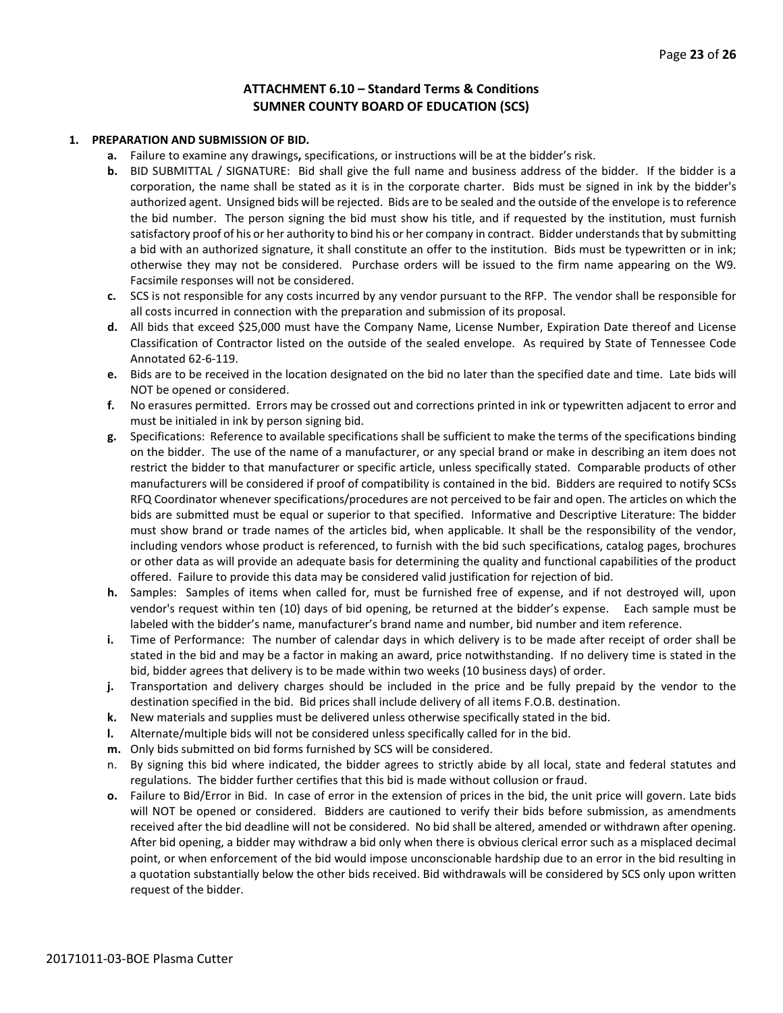#### **ATTACHMENT 6.10 – Standard Terms & Conditions SUMNER COUNTY BOARD OF EDUCATION (SCS)**

#### **1. PREPARATION AND SUBMISSION OF BID.**

- **a.** Failure to examine any drawings**,** specifications, or instructions will be at the bidder's risk.
- **b.** BID SUBMITTAL / SIGNATURE: Bid shall give the full name and business address of the bidder. If the bidder is a corporation, the name shall be stated as it is in the corporate charter. Bids must be signed in ink by the bidder's authorized agent. Unsigned bids will be rejected. Bids are to be sealed and the outside of the envelope is to reference the bid number. The person signing the bid must show his title, and if requested by the institution, must furnish satisfactory proof of his or her authority to bind his or her company in contract. Bidder understands that by submitting a bid with an authorized signature, it shall constitute an offer to the institution. Bids must be typewritten or in ink; otherwise they may not be considered. Purchase orders will be issued to the firm name appearing on the W9. Facsimile responses will not be considered.
- **c.** SCS is not responsible for any costs incurred by any vendor pursuant to the RFP. The vendor shall be responsible for all costs incurred in connection with the preparation and submission of its proposal.
- **d.** All bids that exceed \$25,000 must have the Company Name, License Number, Expiration Date thereof and License Classification of Contractor listed on the outside of the sealed envelope. As required by State of Tennessee Code Annotated 62-6-119.
- **e.** Bids are to be received in the location designated on the bid no later than the specified date and time. Late bids will NOT be opened or considered.
- **f.** No erasures permitted. Errors may be crossed out and corrections printed in ink or typewritten adjacent to error and must be initialed in ink by person signing bid.
- **g.** Specifications: Reference to available specifications shall be sufficient to make the terms of the specifications binding on the bidder. The use of the name of a manufacturer, or any special brand or make in describing an item does not restrict the bidder to that manufacturer or specific article, unless specifically stated. Comparable products of other manufacturers will be considered if proof of compatibility is contained in the bid. Bidders are required to notify SCSs RFQ Coordinator whenever specifications/procedures are not perceived to be fair and open. The articles on which the bids are submitted must be equal or superior to that specified. Informative and Descriptive Literature: The bidder must show brand or trade names of the articles bid, when applicable. It shall be the responsibility of the vendor, including vendors whose product is referenced, to furnish with the bid such specifications, catalog pages, brochures or other data as will provide an adequate basis for determining the quality and functional capabilities of the product offered. Failure to provide this data may be considered valid justification for rejection of bid.
- **h.** Samples: Samples of items when called for, must be furnished free of expense, and if not destroyed will, upon vendor's request within ten (10) days of bid opening, be returned at the bidder's expense. Each sample must be labeled with the bidder's name, manufacturer's brand name and number, bid number and item reference.
- **i.** Time of Performance: The number of calendar days in which delivery is to be made after receipt of order shall be stated in the bid and may be a factor in making an award, price notwithstanding. If no delivery time is stated in the bid, bidder agrees that delivery is to be made within two weeks (10 business days) of order.
- **j.** Transportation and delivery charges should be included in the price and be fully prepaid by the vendor to the destination specified in the bid. Bid prices shall include delivery of all items F.O.B. destination.
- **k.** New materials and supplies must be delivered unless otherwise specifically stated in the bid.
- **l.** Alternate/multiple bids will not be considered unless specifically called for in the bid.
- **m.** Only bids submitted on bid forms furnished by SCS will be considered.
- n. By signing this bid where indicated, the bidder agrees to strictly abide by all local, state and federal statutes and regulations. The bidder further certifies that this bid is made without collusion or fraud.
- **o.** Failure to Bid/Error in Bid. In case of error in the extension of prices in the bid, the unit price will govern. Late bids will NOT be opened or considered. Bidders are cautioned to verify their bids before submission, as amendments received after the bid deadline will not be considered. No bid shall be altered, amended or withdrawn after opening. After bid opening, a bidder may withdraw a bid only when there is obvious clerical error such as a misplaced decimal point, or when enforcement of the bid would impose unconscionable hardship due to an error in the bid resulting in a quotation substantially below the other bids received. Bid withdrawals will be considered by SCS only upon written request of the bidder.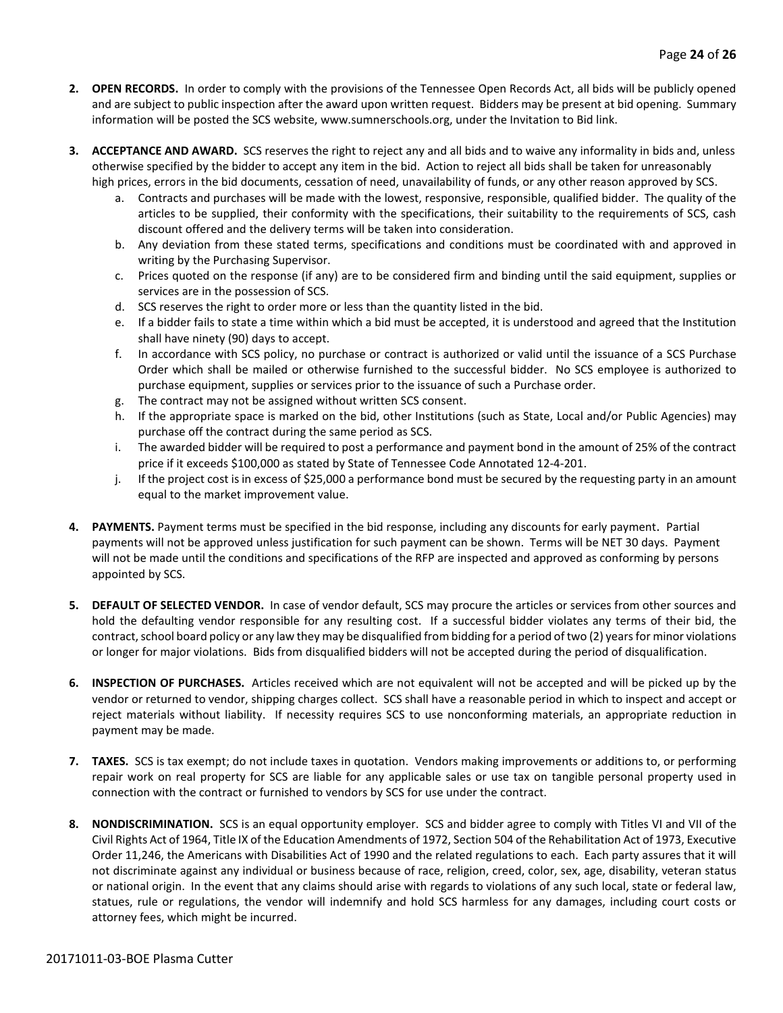- **2. OPEN RECORDS.** In order to comply with the provisions of the Tennessee Open Records Act, all bids will be publicly opened and are subject to public inspection after the award upon written request. Bidders may be present at bid opening. Summary information will be posted the SCS website, www.sumnerschools.org, under the Invitation to Bid link.
- **3. ACCEPTANCE AND AWARD.** SCS reserves the right to reject any and all bids and to waive any informality in bids and, unless otherwise specified by the bidder to accept any item in the bid. Action to reject all bids shall be taken for unreasonably high prices, errors in the bid documents, cessation of need, unavailability of funds, or any other reason approved by SCS.
	- a. Contracts and purchases will be made with the lowest, responsive, responsible, qualified bidder. The quality of the articles to be supplied, their conformity with the specifications, their suitability to the requirements of SCS, cash discount offered and the delivery terms will be taken into consideration.
	- b. Any deviation from these stated terms, specifications and conditions must be coordinated with and approved in writing by the Purchasing Supervisor.
	- c. Prices quoted on the response (if any) are to be considered firm and binding until the said equipment, supplies or services are in the possession of SCS.
	- d. SCS reserves the right to order more or less than the quantity listed in the bid.
	- e. If a bidder fails to state a time within which a bid must be accepted, it is understood and agreed that the Institution shall have ninety (90) days to accept.
	- f. In accordance with SCS policy, no purchase or contract is authorized or valid until the issuance of a SCS Purchase Order which shall be mailed or otherwise furnished to the successful bidder. No SCS employee is authorized to purchase equipment, supplies or services prior to the issuance of such a Purchase order.
	- g. The contract may not be assigned without written SCS consent.
	- h. If the appropriate space is marked on the bid, other Institutions (such as State, Local and/or Public Agencies) may purchase off the contract during the same period as SCS.
	- i. The awarded bidder will be required to post a performance and payment bond in the amount of 25% of the contract price if it exceeds \$100,000 as stated by State of Tennessee Code Annotated 12-4-201.
	- j. If the project cost is in excess of \$25,000 a performance bond must be secured by the requesting party in an amount equal to the market improvement value.
- **4. PAYMENTS.** Payment terms must be specified in the bid response, including any discounts for early payment. Partial payments will not be approved unless justification for such payment can be shown. Terms will be NET 30 days. Payment will not be made until the conditions and specifications of the RFP are inspected and approved as conforming by persons appointed by SCS.
- **5. DEFAULT OF SELECTED VENDOR.** In case of vendor default, SCS may procure the articles or services from other sources and hold the defaulting vendor responsible for any resulting cost. If a successful bidder violates any terms of their bid, the contract, school board policy or any law they may be disqualified from bidding for a period of two (2) years for minor violations or longer for major violations. Bids from disqualified bidders will not be accepted during the period of disqualification.
- **6. INSPECTION OF PURCHASES.** Articles received which are not equivalent will not be accepted and will be picked up by the vendor or returned to vendor, shipping charges collect. SCS shall have a reasonable period in which to inspect and accept or reject materials without liability. If necessity requires SCS to use nonconforming materials, an appropriate reduction in payment may be made.
- **7. TAXES.** SCS is tax exempt; do not include taxes in quotation. Vendors making improvements or additions to, or performing repair work on real property for SCS are liable for any applicable sales or use tax on tangible personal property used in connection with the contract or furnished to vendors by SCS for use under the contract.
- **8. NONDISCRIMINATION.** SCS is an equal opportunity employer. SCS and bidder agree to comply with Titles VI and VII of the Civil Rights Act of 1964, Title IX of the Education Amendments of 1972, Section 504 of the Rehabilitation Act of 1973, Executive Order 11,246, the Americans with Disabilities Act of 1990 and the related regulations to each. Each party assures that it will not discriminate against any individual or business because of race, religion, creed, color, sex, age, disability, veteran status or national origin. In the event that any claims should arise with regards to violations of any such local, state or federal law, statues, rule or regulations, the vendor will indemnify and hold SCS harmless for any damages, including court costs or attorney fees, which might be incurred.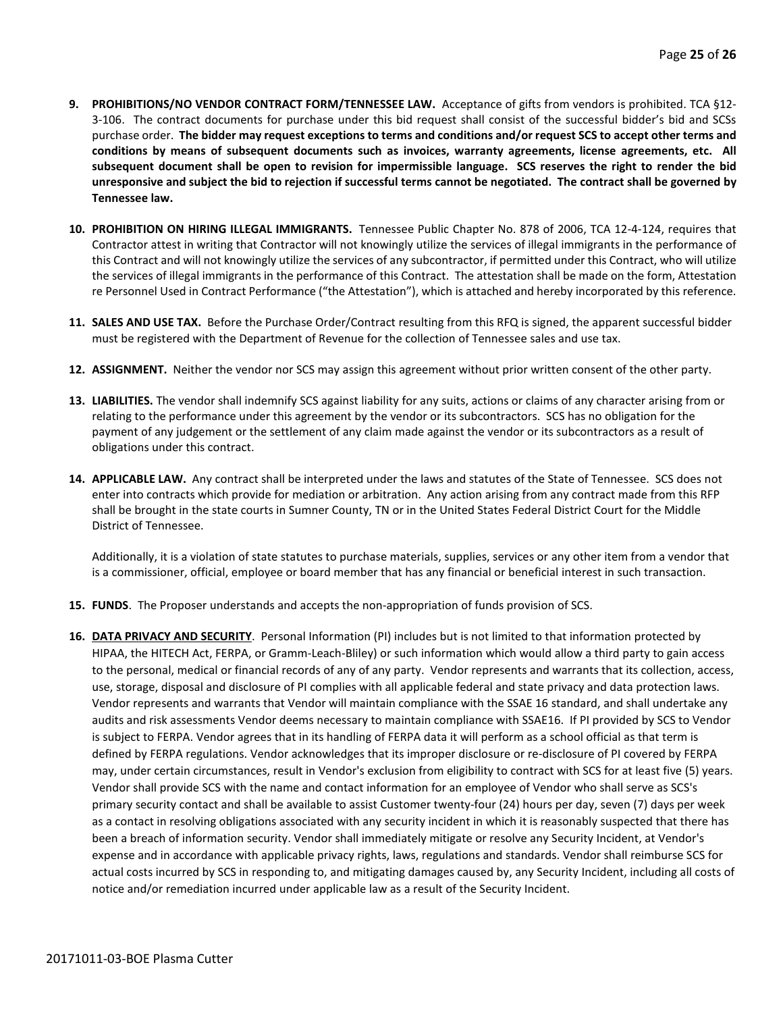- **9. PROHIBITIONS/NO VENDOR CONTRACT FORM/TENNESSEE LAW.** Acceptance of gifts from vendors is prohibited. TCA §12- 3-106. The contract documents for purchase under this bid request shall consist of the successful bidder's bid and SCSs purchase order. **The bidder may request exceptions to terms and conditions and/or request SCS to accept other terms and conditions by means of subsequent documents such as invoices, warranty agreements, license agreements, etc. All subsequent document shall be open to revision for impermissible language. SCS reserves the right to render the bid unresponsive and subject the bid to rejection if successful terms cannot be negotiated. The contract shall be governed by Tennessee law.**
- **10. PROHIBITION ON HIRING ILLEGAL IMMIGRANTS.** Tennessee Public Chapter No. 878 of 2006, TCA 12-4-124, requires that Contractor attest in writing that Contractor will not knowingly utilize the services of illegal immigrants in the performance of this Contract and will not knowingly utilize the services of any subcontractor, if permitted under this Contract, who will utilize the services of illegal immigrants in the performance of this Contract. The attestation shall be made on the form, Attestation re Personnel Used in Contract Performance ("the Attestation"), which is attached and hereby incorporated by this reference.
- **11. SALES AND USE TAX.** Before the Purchase Order/Contract resulting from this RFQ is signed, the apparent successful bidder must be registered with the Department of Revenue for the collection of Tennessee sales and use tax.
- **12. ASSIGNMENT.** Neither the vendor nor SCS may assign this agreement without prior written consent of the other party.
- **13. LIABILITIES.** The vendor shall indemnify SCS against liability for any suits, actions or claims of any character arising from or relating to the performance under this agreement by the vendor or its subcontractors. SCS has no obligation for the payment of any judgement or the settlement of any claim made against the vendor or its subcontractors as a result of obligations under this contract.
- **14. APPLICABLE LAW.** Any contract shall be interpreted under the laws and statutes of the State of Tennessee. SCS does not enter into contracts which provide for mediation or arbitration. Any action arising from any contract made from this RFP shall be brought in the state courts in Sumner County, TN or in the United States Federal District Court for the Middle District of Tennessee.

Additionally, it is a violation of state statutes to purchase materials, supplies, services or any other item from a vendor that is a commissioner, official, employee or board member that has any financial or beneficial interest in such transaction.

- **15. FUNDS**. The Proposer understands and accepts the non-appropriation of funds provision of SCS.
- **16. DATA PRIVACY AND SECURITY**. Personal Information (PI) includes but is not limited to that information protected by HIPAA, the HITECH Act, FERPA, or Gramm-Leach-Bliley) or such information which would allow a third party to gain access to the personal, medical or financial records of any of any party. Vendor represents and warrants that its collection, access, use, storage, disposal and disclosure of PI complies with all applicable federal and state privacy and data protection laws. Vendor represents and warrants that Vendor will maintain compliance with the SSAE 16 standard, and shall undertake any audits and risk assessments Vendor deems necessary to maintain compliance with SSAE16. If PI provided by SCS to Vendor is subject to FERPA. Vendor agrees that in its handling of FERPA data it will perform as a school official as that term is defined by FERPA regulations. Vendor acknowledges that its improper disclosure or re-disclosure of PI covered by FERPA may, under certain circumstances, result in Vendor's exclusion from eligibility to contract with SCS for at least five (5) years. Vendor shall provide SCS with the name and contact information for an employee of Vendor who shall serve as SCS's primary security contact and shall be available to assist Customer twenty-four (24) hours per day, seven (7) days per week as a contact in resolving obligations associated with any security incident in which it is reasonably suspected that there has been a breach of information security. Vendor shall immediately mitigate or resolve any Security Incident, at Vendor's expense and in accordance with applicable privacy rights, laws, regulations and standards. Vendor shall reimburse SCS for actual costs incurred by SCS in responding to, and mitigating damages caused by, any Security Incident, including all costs of notice and/or remediation incurred under applicable law as a result of the Security Incident.